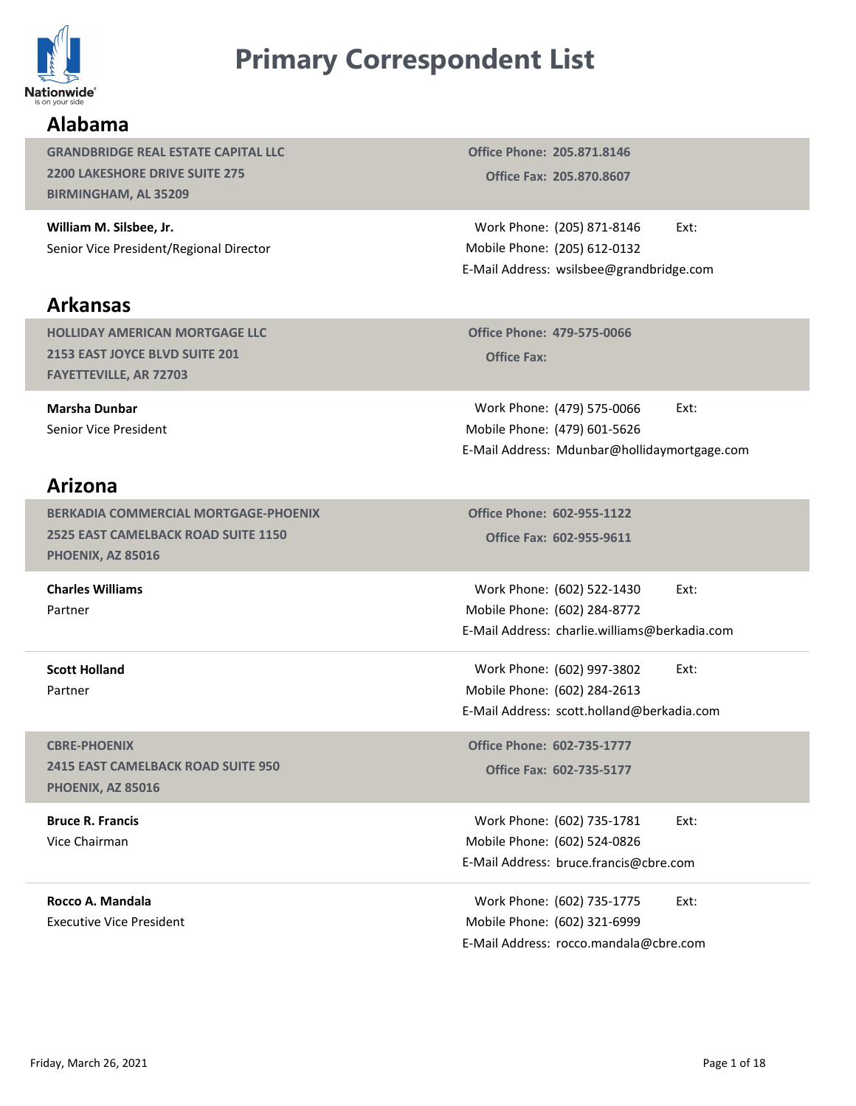

# Primary Correspondent List

# Alabama

GRANDBRIDGE REAL ESTATE CAPITAL LLC 2200 LAKESHORE DRIVE SUITE 275 BIRMINGHAM, AL 35209

William M. Silsbee, Jr. Senior Vice President/Regional Director

#### Arkansas

HOLLIDAY AMERICAN MORTGAGE LLC 2153 EAST JOYCE BLVD SUITE 201 FAYETTEVILLE, AR 72703

Marsha Dunbar Senior Vice President

#### Arizona

BERKADIA COMMERCIAL MORTGAGE-PHOENIX 2525 EAST CAMELBACK ROAD SUITE 1150 PHOENIX, AZ 85016

Charles Williams Partner

Scott Holland Partner

CBRE-PHOENIX 2415 EAST CAMELBACK ROAD SUITE 950 PHOENIX, AZ 85016

Bruce R. Francis Vice Chairman

Rocco A. Mandala Executive Vice President

Office Fax: 205.870.8607 Office Phone: 205.871.8146

Work Phone: (205) 871-8146 Ext: Mobile Phone: (205) 612-0132 **ndent List**<br>
Office Phone: 205.871.8146<br>
Office Fax: 205.870.8607<br>
Work Phone: (205) 871-8146 Ext:<br>
Iobile Phone: (205) 612-0132<br>
Mail Address: wsilsbee@grandbridge.com E-Mail Address: wsilsbee@grandbridge.com

Office Phone: 479-575-0066

**COMPTE 151 EXECT:**<br>
Continue: 205.871.8146<br>
Coffice Fax: 205.870.8607<br>
Cork Phone: (205) 871-8146<br>
Ext:<br>
Sile Phone: (205) 612-0132<br>
Cork Phone: 479-575-0066<br>
Coffice Fax:<br>
Cork Phone: (479) 575-0066<br>
Ext:<br>
Cork Phone: (4 Work Phone: (479) 575-0066 Ext: (479) 601-5626 Mobile Phone: **ICIGNT LIST**<br>
There Phone: 205.871.8146<br>
Office Fax: 205.870.8607<br>
Work Phone: (205) 871-8146 Ext:<br>
Itabile Phone: (205) 612-0132<br>
Mail Address: wsilsbee@grandbridge.com<br>
Office Phone: 479-575-0066 Ext:<br>
Work Phone: (479) E-Mail Address: Mdunbar@hollidaymortgage.com Iobile Phone: (205) 612-0132<br>
Mail Address: wsilsbee@grandbridge.com<br>
Office Phone: 479-575-0066<br>
Office Fax:<br>
Work Phone: (479) 575-0066 Ext:<br>
Noile Phone: (479) 601-5626<br>
Mail Address: Mdunbar@hollidaymortgage.com<br>
Mail office Phone: 479-575-0066<br>
Office Fax:<br>
Work Phone: (479) 575-0066 Ext:<br>
Itabile Phone: (479) 601-5626<br>
Mail Address: Mdunbar@hollidaymortgage.com<br>
Office Phone: 602-955-1122<br>
Office Fax: 602-955-9611<br>
Work Phone: (602) 5 Vork Phone: (479) 575-0066<br>
E-Mail Address: Mdunbar@hollidaymortgage.com<br>
E-Mail Address: Mdunbar@hollidaymortgage.com<br>
Office Phone: 602-955-1122<br>
Office Fax: 602-955-1122<br>
Office Fax: 602-955-9611<br>
Work Phone: (602) 222-

Office Fax: 602-955-9611 Office Phone: 602-955-1122

Work Phone: (602) 522-1430 Ext: (602) 284-8772 Mobile Phone: E-Mail Address: charlie.williams@berkadia.com office Phone: 602-955-1122<br>
Office Fax: 602-955-9611<br>
Work Phone: (602) 522-1430 Ext:<br>
Itabile Phone: (602) 284-8772<br>
Mail Address: charlie.williams@berkadia.com<br>
Work Phone: (602) 997-3802 Ext:<br>
Nork Phone: (602) 284-2613 Work Phone: (602) 522-1430<br>
Italie Phone: (602) 284-8772<br>
Mail Address: charlie.williams@berkadia.com<br>
Work Phone: (602) 997-3802 Ext:<br>
Italie Phone: (602) 284-2613<br>
Mail Address: scott.holland@berkadia.com<br>
Pffice Phone:

Work Phone: (602) 997-3802 Ext: (602) 284-2613 Mobile Phone: Wobile Phone: (602) 284-8772<br>
E-Mail Address: charlie.williams@berkadia.com<br>
Work Phone: (602) 997-3802 Ext:<br>
Mobile Phone: (602) 997-3802 Ext:<br>
Mobile Phone: (602) 284-2613<br>
E-Mail Address: scott.holland@berkadia.com<br>
Off

Office Fax: 602-735-5177 Office Phone: 602-735-1777

Work Phone: (602) 735-1781 Ext: (602) 524-0826 Mobile Phone: E-Mail Address: bruce.francis@cbre.com

Work Phone: (602) 735-1775 Ext: (602) 321-6999 Mobile Phone: CBRE-PHOENIX<br>
2415 EAST CAMELBACK ROAD SUITE 950<br>
2415 EAST CAMELBACK ROAD SUITE 950<br>
PHOENIX, AZ 85016<br> **Bruce R. Francis**<br> **Friday, March 26, 2021**<br> **Friday, March 26, 2021**<br> **Friday, March 26, 2021**<br> **Friday, March 26,**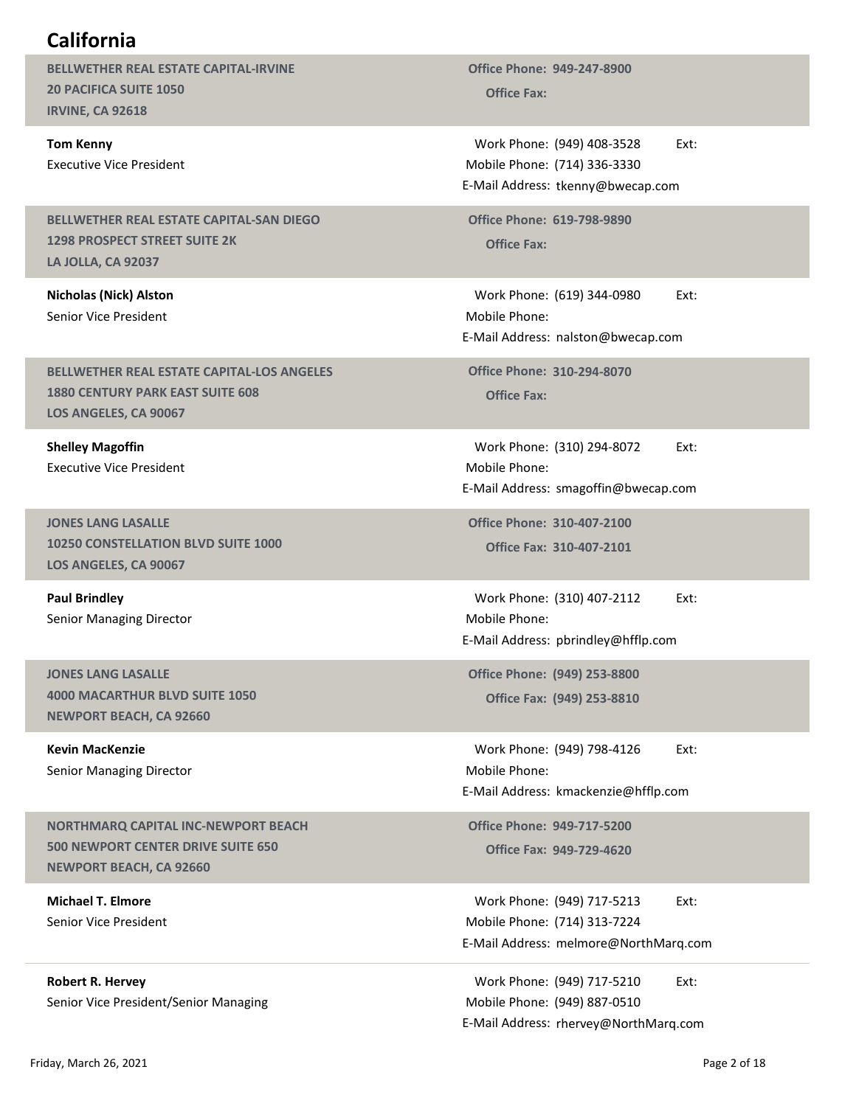# California

BELLWETHER REAL ESTATE CAPITAL-IRVINE 20 PACIFICA SUITE 1050 IRVINE, CA 92618

Tom Kenny Executive Vice President

#### BELLWETHER REAL ESTATE CAPITAL-SAN DIEGO 1298 PROSPECT STREET SUITE 2K LA JOLLA, CA 92037

Nicholas (Nick) Alston Senior Vice President

BELLWETHER REAL ESTATE CAPITAL-LOS ANGELES 1880 CENTURY PARK EAST SUITE 608 LOS ANGELES, CA 90067

Shelley Magoffin Executive Vice President

JONES LANG LASALLE 10250 CONSTELLATION BLVD SUITE 1000 LOS ANGELES, CA 90067

Paul Brindley Senior Managing Director

JONES LANG LASALLE 4000 MACARTHUR BLVD SUITE 1050 NEWPORT BEACH, CA 92660

Kevin MacKenzie Senior Managing Director

NORTHMARQ CAPITAL INC-NEWPORT BEACH 500 NEWPORT CENTER DRIVE SUITE 650 NEWPORT BEACH, CA 92660

Michael T. Elmore Senior Vice President

Robert R. Hervey Senior Vice President/Senior Managing Office Phone: 949-247-8900<br>Office Fax:

Work Phone: (949) 408-3528 Ext: Mobile Phone: (714) 336-3330 Office Phone: 949-247-8900<br>
Office Fax:<br>
Work Phone: (949) 408-3528 Ext:<br>
Iobile Phone: (714) 336-3330<br>
Mail Address: tkenny@bwecap.com<br>
Office Phone: 619-798-9890<br>
Office Fax: E-Mail Address: tkenny@bwecap.com

Office Phone: 619-798-9890

ice Phone: 949-247-8900<br>
Office Fax:<br>
ork Phone: (949) 408-3528 Ext:<br>
bile Phone: (714) 336-3330<br>
ail Address: tkenny@bwecap.com<br>
ice Phone: 619-798-9890<br>
Office Fax:<br>
ork Phone: (619) 344-0980 Ext:<br>
bile Phone:<br>
ail Addre office Phone: 949-247-8900<br>
Office Fax:<br>
Work Phone: (949) 408-3528 Ext:<br>
Iobile Phone: (714) 336-3330<br>
Mail Address: tkenny@bwecap.com<br>
office Fax:<br>
Work Phone: (619) 344-0980 Ext:<br>
Iobile Phone:<br>
Mail Address: nalston@bw Mobile Phone: E-Mail Address: nalston@bwecap.com

Office Phone: 310-294-8070<br>Office Fax:

Work Phone: (949) 408-3528 Ext:<br>
Idobile Phone: (714) 336-3330<br>
Mail Address: tkenny@bwecap.com<br>
office Phone: 619-798-9890<br>
Office Fax:<br>
Work Phone: (619) 344-0980 Ext:<br>
Nork Phone: (619) 344-0980 Ext:<br>
Mail Address: nals Mobile Phone: E-Mail Address: smagoffin@bwecap.com Work Phone: (619) 344-0980<br>
Mail Address: nalston@bwecap.com<br>
Mail Address: nalston@bwecap.com<br>
office Phone: 310-294-8070<br>
Office Fax:<br>
Work Phone: (310) 294-8072 Ext:<br>
Mail Address: smagoffin@bwecap.com<br>
office Phone: 31 ice Phone: 310-294-8070<br>Office Fax:<br>Ork Phone: (310) 294-8072 Ext:<br>Dile Phone:<br>ail Address: smagoffin@bwecap.com<br>ice Phone: 310-407-2100<br>Office Fax: 310-407-21112 Ext:<br>Dile Phone: (310) 407-2112 Ext:<br>ail Address: phrindley Work Phone: (310) 294-8072<br>
Work Phone:<br>
Mail Address: smagoffin@bwecap.com<br>
office Phone: 310-407-2100<br>
Office Fax: 310-407-2101<br>
Work Phone: (310) 407-2112 Ext:<br>
Mail Address: pbrindley@hfflp.com<br>
office Phone: (949) 253

Office Fax: 310-407-2101 Office Phone: 310-407-2100

Mobile Phone: E-Mail Address: pbrindley@hfflp.com

Office Phone: (949) 253-8800

Mobile Phone: E-Mail Address: kmackenzie@hfflp.com -Mail Address: smagoffin@bwecap.com<br>
Office Phone: 310-407-2100<br>
Office Fax: 310-407-2101<br>
Work Phone: (310) 407-2112 Ext:<br>
Mobile Phone:<br>
-Mail Address: pbrindley@hfflp.com<br>
Office Phone: (949) 253-8800<br>
Office Fax: (949)

Office Fax: 949-729-4620

Work Phone: (949) 717-5213 Ext: (714) 313-7224 Mobile Phone: Work Phone: (310) 407-2112<br>Work Phone: (310) 407-2112<br>Mail Address: pbrindley@hfflp.com<br>office Phone: (949) 253-8800<br>office Fax: (949) 253-8810<br>Work Phone: (949) 798-4126<br>Kit:<br>Mork Phone: (949) 717-5213<br>Office Fax: 949-729 Work Phone: (310) 407-2112<br>
E-Mail Address: pbrindley@hfflp.com<br>
Office Phone: (949) 253-8800<br>
Office Fax: (949) 253-8810<br>
Work Phone: (949) 798-4126<br>
Ext:<br>
Mobile Phone:<br>
E-Mail Address: kmackenzie@hfflp.com<br>
Office Phone Mail Address: pbrindley@hfflp.com<br>
Office Phone: (949) 253-8800<br>
Office Fax: (949) 798-4126 Ext:<br>
Nork Phone: (949) 798-4126 Ext:<br>
Iobile Phone: (949) 798-4126 Ext:<br>
Mail Address: kmackenzie@hfflp.com<br>
Office Phone: (949) NEWPORT BEACH, CA 92660<br> **Kevin Marckenzie**<br>
Senior Managing Director<br>
MORTHMARQ CAPITAL INC-NEWPORT BEACH<br>
SOO NEWPORT CENTER DRIVE SUITE 650<br>
SOO NEWPORT BEACH, CA 92660<br>
MIchael T. Elmore<br>
Michael T. Elmore<br>
Michael T.

Work Phone: (949) 717-5210 Ext: (949) 887-0510 Mobile Phone: E-Mail Address: rhervey@NorthMarq.com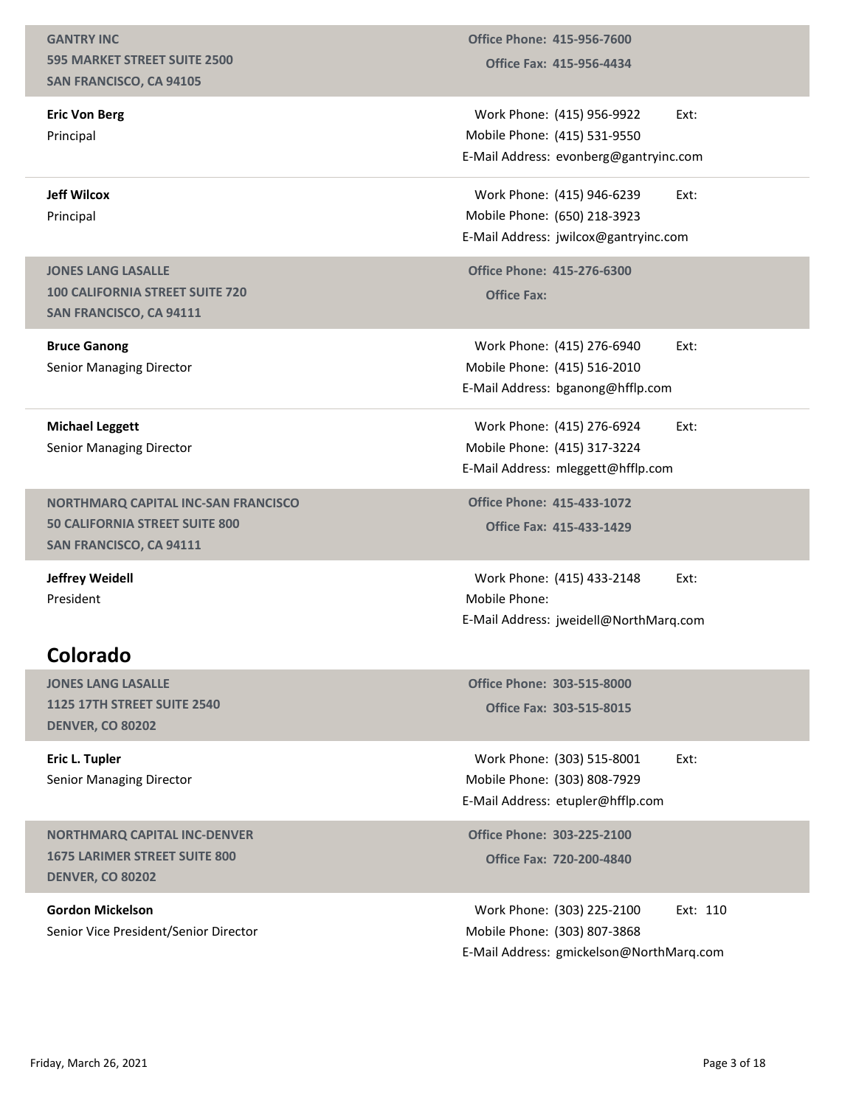#### GANTRY INC 595 MARKET STREET SUITE 2500 SAN FRANCISCO, CA 94105

Eric Von Berg Principal

Jeff Wilcox Principal

JONES LANG LASALLE 100 CALIFORNIA STREET SUITE 720 SAN FRANCISCO, CA 94111

Bruce Ganong Senior Managing Director

Michael Leggett Senior Managing Director

NORTHMARQ CAPITAL INC-SAN FRANCISCO 50 CALIFORNIA STREET SUITE 800 SAN FRANCISCO, CA 94111

Jeffrey Weidell President

# Colorado

JONES LANG LASALLE 1125 17TH STREET SUITE 2540 DENVER, CO 80202

Eric L. Tupler Senior Managing Director

NORTHMARQ CAPITAL INC-DENVER 1675 LARIMER STREET SUITE 800 DENVER, CO 80202

Gordon Mickelson Senior Vice President/Senior Director

Office Fax: 415-956-4434 Office Phone: 415-956-7600

Work Phone: (415) 956-9922 Ext: (415) 531-9550 Mobile Phone: office Phone: 415-956-7600<br>
Office Fax: 415-956-4434<br>
Work Phone: (415) 956-9922 Ext:<br>
Iobile Phone: (415) 531-9550<br>
Mail Address: evonberg@gantryinc.com<br>
Work Phone: (415) 946-6239 Ext:<br>
Iobile Phone: (650) 218-3923 E-Mail Address: evonberg@gantryinc.com office Phone: 415-956-7600<br>
Office Fax: 415-956-4434<br>
Work Phone: (415) 956-9922 Ext:<br>
Iobile Phone: (415) 531-9550<br>
Mail Address: evonberg@gantryinc.com<br>
Work Phone: (415) 946-6239 Ext:<br>
Iobile Phone: (650) 218-3923<br>
Mail Office Phone: 415-956-7600<br>
Office Fax: 415-956-4434<br>
Work Phone: (415) 956-9922 Ext:<br>
Mobile Phone: (415) 531-9550<br>
E-Mail Address: evonberg@gantryinc.com<br>
Work Phone: (415) 946-6239 Ext:<br>
Mobile Phone: (650) 218-3923<br>
Eoffice Phone: 415-956-7600<br>
Office Fax: 415-956-4434<br>
Work Phone: (415) 956-9922 Ext:<br>
Iobile Phone: (415) 531-9550<br>
Mail Address: evonberg@gantryinc.com<br>
Work Phone: (415) 946-6239 Ext:<br>
Iobile Phone: (650) 218-3923<br>
Mail Work Phone: (415) 956-9922 Ext:<br>
Iobile Phone: (415) 531-9550<br>
Mail Address: evonberg@gantryinc.com<br>
Work Phone: (415) 946-6239 Ext:<br>
Iobile Phone: (650) 218-3923<br>
Mail Address: ivvilcox@gantryinc.com<br>
Pffice Phone: 415-27

Work Phone: (415) 946-6239 Ext: (650) 218-3923 Mobile Phone:

Office Phone: 415-276-6300<br>Office Fax:

Work Phone: (415) 276-6940 Ext: Mobile Phone: (415) 516-2010 E-Mail Address: bganong@hfflp.com Wobile Phone: (415) 531-952<br>
E-Mail Address: evonberg@gantryinc.com<br>
Work Phone: (415) 946-6239 Ext:<br>
Mobile Phone: (650) 218-3923<br>
E-Mail Address: jwilcox@gantryinc.com<br>
Office Phone: (415) 276-6300<br>
Office Fax:<br>
Work Pho

Work Phone: (415) 276-6924 Ext: (415) 317-3224 Mobile Phone:

Office Fax: 415-433-1429 Office Phone: 415-433-1072

Mail Address: jwilcox@gantryinc.com<br>
Office Phone: 415-276-6300<br>
Office Fax:<br>
Work Phone: (415) 276-6940 Ext:<br>
Iobile Phone: (415) 516-2010<br>
Mail Address: bganong@hfflp.com<br>
Work Phone: (415) 317-3224<br>
Mail Address: mlegge Mobile Phone: E-Mail Address: jweidell@NorthMarq.com bile Phone: (415) 516-2010<br>
ail Address: bganong@hfflp.com<br>
ork Phone: (415) 317-3224<br>
bile Phone: (415) 317-3224<br>
ail Address: mleggett@hfflp.com<br>
ice Phone: 415-433-1072<br>
Office Fax: 415-433-1429<br>
ork Phone: (415) 433-21 Work Phone: (415) 276-6924<br>
Iobile Phone: (415) 317-3224<br>
Mail Address: mleggett@hfflp.com<br>
Iffice Phone: 415-433-1072<br>
Office Fax: 415-433-1429<br>
Work Phone: (415) 433-2148<br>
Ext:<br>
Nork Phone: (415) 433-2148<br>
Ext:<br>
Mail Add

Office Phone: 303-515-8000

Work Phone: (303) 515-8001 Ext: (303) 808-7929 Mobile Phone: E-Mail Address: etupler@hfflp.com

Office Fax: 720-200-4840 Office Phone: 303-225-2100

(415) 433-2148 Ext:<br>
iweidell@NorthMarq.com<br>
303-515-8000<br>
303-515-8015<br>
(303) 515-8001 Ext:<br>
(303) 808-7929<br>
etupler@hfflp.com<br>
303-225-2100<br>
720-200-4840<br>
(303) 225-2100 Ext: 110<br>
(303) 807-3868<br>
gmickelson@NorthMarq.com (303) 807-3868 Mobile Phone: Work Phone: (415) 433-2148<br>
Iobile Phone:<br>
Mail Address: jweidell@NorthMarq.com<br>
Office Phone: 303-515-8000<br>
Office Fax: 303-515-8015<br>
Work Phone: (303) 515-8001 Ext:<br>
Nork Phone: (303) 808-7929<br>
Mail Address: etupler@hffl E-Mail Address: gmickelson@NorthMarq.com ERIVER, CO 80202<br>
Eric L. Tupler<br>
Senior Managing Director<br>
MORTHMARQ CAPITAL INC-DENVER<br>
MORTHMARQ CAPITAL INC-DENVER<br>
1675 LARIMER STREET SUITE 800<br>
DENVER, CO 80202<br>
Gordon Mickelson<br>
Gordon Mickelson<br>
Gordon Mickelson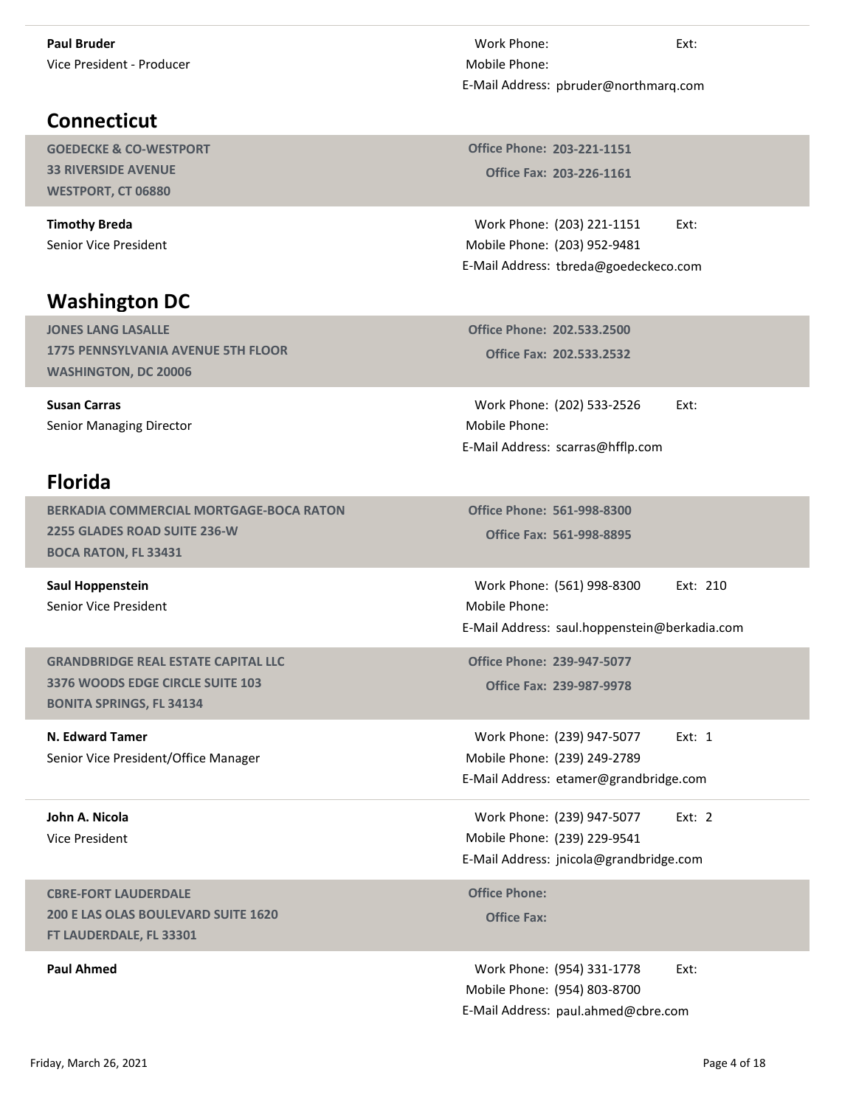# **Connecticut**

GOEDECKE & CO-WESTPORT 33 RIVERSIDE AVENUE WESTPORT, CT 06880

Timothy Breda Senior Vice President

# Washington DC

JONES LANG LASALLE 1775 PENNSYLVANIA AVENUE 5TH FLOOR WASHINGTON, DC 20006

Susan Carras Senior Managing Director

# Florida

BERKADIA COMMERCIAL MORTGAGE-BOCA RATON 2255 GLADES ROAD SUITE 236-W BOCA RATON, FL 33431

Saul Hoppenstein Senior Vice President

GRANDBRIDGE REAL ESTATE CAPITAL LLC 3376 WOODS EDGE CIRCLE SUITE 103 BONITA SPRINGS, FL 34134

N. Edward Tamer Senior Vice President/Office Manager

John A. Nicola Vice President

CBRE-FORT LAUDERDALE 200 E LAS OLAS BOULEVARD SUITE 1620 FT LAUDERDALE, FL 33301

Work Phone: Ext:<br>lobile Phone:<br>Mail Address: pbruder@northmarq.com<br>Affice Phone: 202 221 1151 Mobile Phone: E-Mail Address: pbruder@northmarq.com Work Phone:<br>
Iobile Phone:<br>
Mail Address: pbruder@northmarq.com<br>
Pffice Phone: 203-221-1151<br>
Office Fax: 203-226-1161<br>
Work Phone: (203) 221-1151 Ext:<br>
Iobile Phone: (203) 952-9481<br>
Mail Address: tbreda@goedeckeco.com<br>
Aff ork Phone:<br>
Ext:<br>
bile Phone:<br>
iail Address: pbruder@northmarq.com<br>
ice Phone: 203-221-1151<br>
Office Fax: 203-226-1161<br>
ork Phone: (203) 221-1151 Ext:<br>
bile Phone: (203) 952-9481<br>
iail Address: tbreda@goedeckeco.com<br>
cice P

Office Fax: 203-226-1161 Office Phone: 203-221-1151

Work Phone: (203) 221-1151 Ext: (203) 952-9481 Mobile Phone: E-Mail Address: tbreda@goedeckeco.com Iolie Phone:<br>
Mail Address: pbruder@northmarq.com<br>
Ioffice Phone: 203-221-1151<br>
Office Fax: 203-226-1161<br>
Work Phone: (203) 952-9481<br>
Mail Address: tbreda@goedeckeco.com<br>
Ioffice Phone: 202.533.2500<br>
Office Fax: 202.533.25

Office Phone: 202.533.2500

Mobile Phone: E-Mail Address: scarras@hfflp.com

Office Fax: 561-998-8895 Office Phone: 561-998-8300

Iobile Phone: (203) 952-9481<br>
Mail Address: threda@goedeckeco.com<br>
Office Phone: 202.533.2530<br>
Office Fax: 202.533.2532<br>
Work Phone: (202) 533-2526 Ext:<br>
Iobile Phone:<br>
Iobile Phone: S61-998-8300<br>
Office Fax: 561-998-8300<br> Mobile Phone: E-Mail Address: saul.hoppenstein@berkadia.com (202) 533-2526 Ext:<br>
scarras@hfflp.com<br>
561-998-8300<br>
561-998-8395<br>
(561) 998-8300 Ext: 210<br>
saul.hoppenstein@berkadia.com<br>
239-947-5077<br>
239-987-9978<br>
(239) 947-5077 Ext: 1<br>
(239) 249-2789<br>
etamer@grandbridge.com<br>
(239) 9 Work Phone: (202) 533-2526 Ext:<br>
Mobile Phone:<br>
E-Mail Address: scarras@hfflp.com<br>
Office Phone: 561-998-8300<br>
Office Fax: 561-998-8895<br>
Work Phone: (561) 998-8300 Ext: 210<br>
Mobile Phone: (561) 998-8300 Ext: 210<br>
Mobile Ph 561-998-8300<br>
561-998-8895<br>
(561) 998-8300 Ext: 210<br>
saul.hoppenstein@berkadia.com<br>
239-947-5077<br>
239-987-9978<br>
(239) 947-5077 Ext: 1<br>
(239) 249-2789<br>
etamer@grandbridge.com<br>
(239) 947-5077 Ext: 2<br>
(239) 947-5077 Ext: 2<br>
( Office Phone: 561-998-8300<br>
Office Fax: 561-998-8895<br>
Work Phone: (561) 998-8300 Ext: 210<br>
Mobile Phone:<br>
E-Mail Address: saul.hoppenstein@berkadia.com<br>
Office Phone: 239-947-5077<br>
Office Fax: 239-987-9978<br>
Work Phone: (23

Office Fax: 239-987-9978 Office Phone: 239-947-5077

Mobile Phone: (239) 249-2789 E-Mail Address: etamer@grandbridge.com Mail Address: saul.hoppenstein@berkadia.com<br>
Office Phone: 239-947-5077<br>
Office Fax: 239-987-9978<br>
Work Phone: (239) 947-5077 Ext: 1<br>
Iobile Phone: (239) 249-2789<br>
Mail Address: etamer@grandbridge.com<br>
Work Phone: (239) 94 N. Edward Tamer<br>
Senior Vice President/Office Manager<br>
Senior Vice President/Office Manager<br>
John A. Nicola<br>
United Responsible Phone: (239) 947-5077 Ext: 2<br>
Vice President<br>
CHE Phone: (239) 947-5077 Ext: 2<br>
Noric Phone: (

Mobile Phone: (239) 229-9541 E-Mail Address: jnicola@grandbridge.com

**Office Phone:** 

Paul Ahmed **Example 2018** 2019 12:30 Work Phone: (954) 331-1778 Ext: Mobile Phone: (954) 803-8700 E-Mail Address: paul.ahmed@cbre.com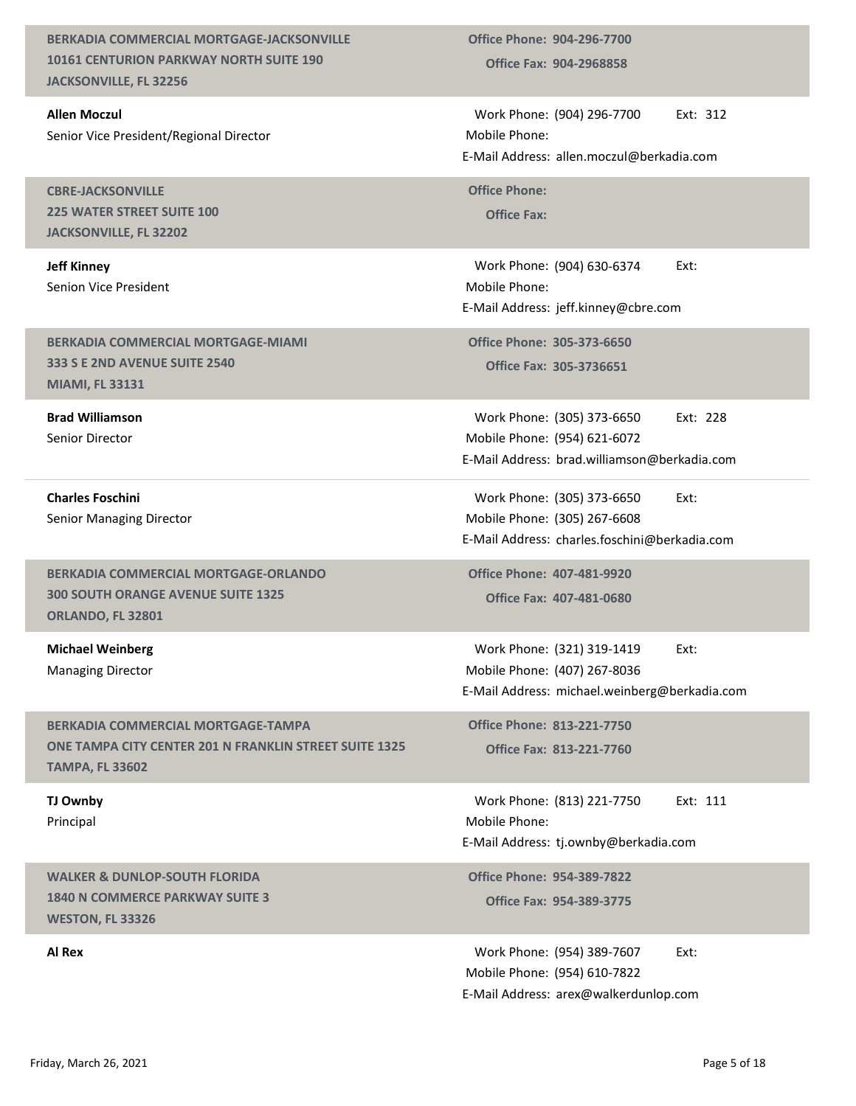BERKADIA COMMERCIAL MORTGAGE-JACKSONVILLE 10161 CENTURION PARKWAY NORTH SUITE 190 JACKSONVILLE, FL 32256 Office Fax: 904-2968858 Office Phone: 904-296-7700 Allen Moczul Senior Vice President/Regional Director Office Phone: 904-296-7700<br>
Office Fax: 904-2968858<br>
Work Phone: (904) 296-7700 Ext: 312<br>
Iobile Phone:<br>
Mail Address: allen.moczul@berkadia.com<br>
Office Phone:<br>
Office Fax: Mobile Phone: E-Mail Address: allen.moczul@berkadia.com CBRE-JACKSONVILLE 225 WATER STREET SUITE 100 JACKSONVILLE, FL 32202 Office Phone:<br>Office Fax: Jeff Kinney Senion Vice President office Phone: 904-296-7700<br>
Office Fax: 904-2968858<br>
Work Phone: (904) 296-7700 Ext: 312<br>
Iobile Phone:<br>
Mail Address: allen.moczul@berkadia.com<br>
office Phone:<br>
Office Fax:<br>
Work Phone: (904) 630-6374 Ext:<br>
Iobile Phone: 1 Mobile Phone: E-Mail Address: jeff.kinney@cbre.com BERKADIA COMMERCIAL MORTGAGE-MIAMI 333 S E 2ND AVENUE SUITE 2540 MIAMI, FL 33131 Office Fax: 305-3736651 Office Phone: 305-373-6650 Brad Williamson Senior Director (904) 296-7700 Ext: 312<br>
allen.moczul@berkadia.com<br>
(904) 630-6374 Ext:<br>
jeff.kinney@cbre.com<br>
305-373-6650<br>
305-373-6650 Ext: 228<br>
(954) 621-6072<br>
brad.williamson@berkadia.com<br>
(305) 373-6650 Ext: 228<br>
(954) 621-6072<br>
bra Mobile Phone: (954) 621-6072 Work Phone: (904) 296-7700 Ext: 312<br>Work Phone:<br>Mail Address: allen.moczul@berkadia.com<br>office Phone:<br>office Fax:<br>Work Phone: (904) 630-6374 Ext:<br>Work Phone: (904) 630-6374 Ext:<br>Mill Address: jeff.kinney@cbre.com<br>office Ph Work Phone: (904) 296-7700 Ext: 312<br>
Mobile Phone:<br>
E-Mail Address: allen.moczul@berkadia.com<br>
Office Phone:<br>
Office Fax:<br>
Work Phone: (904) 630-6374 Ext:<br>
Mobile Phone:<br>
E-Mail Address: jeff.kinney@cbre.com<br>
Office Phone: Charles Foschini Senior Managing Director Work Phone: (305) 373-6650 Ext: (305) 267-6608 Mobile Phone: Mail Address: allen.moczul@berkadia.com<br>
Office Phone:<br>
Office Fax:<br>
Work Phone: (904) 630-6374 Ext:<br>
Itali Address: jeff.kinney@cbre.com<br>
Office Phone: 305-373-6650<br>
Office Fax: 305-373-6650 Ext: 228<br>
Itali Address: brad. E-Mail Address: charles.foschini@berkadia.com BERKADIA COMMERCIAL MORTGAGE-ORLANDO 300 SOUTH ORANGE AVENUE SUITE 1325 ORLANDO, FL 32801 Office Fax: 407-481-0680 Office Phone: 407-481-9920 Michael Weinberg Managing Director Work Phone: (321) 319-1419 Ext: (407) 267-8036 Mobile Phone: Mail Address: jeff.kinney@cbre.com<br>
Office Phone: 305-373-6650<br>
Office Fax: 305-373-6650<br>
Work Phone: (305) 373-6650 Ext: 228<br>
Iobile Phone: (954) 621-6072<br>
Mail Address: brad.williamson@berkadia.com<br>
Work Phone: (305) 373 E-Mail Address: michael.weinberg@berkadia.com BERKADIA COMMERCIAL MORTGAGE-TAMPA ONE TAMPA CITY CENTER 201 N FRANKLIN STREET SUITE 1325 TAMPA, FL 33602 Office Fax: 813-221-7760 Office Phone: 813-221-7750 TJ Ownby Principal Mail Address: brad.williamson@berkadia.com<br>Work Phone: (305) 373-6650 Ext:<br>tobile Phone: (305) 267-6608<br>Mail Address: charles.foschini@berkadia.com<br>office Phone: 407-481-9920<br>Office Fax: 407-481-0680<br>Work Phone: (321) 319-Mobile Phone: E-Mail Address: tj.ownby@berkadia.com WALKER & DUNLOP-SOUTH FLORIDA 1840 N COMMERCE PARKWAY SUITE 3 WESTON, FL 33326 Office Fax: 954-389-3775 Office Phone: 954-389-7822 Al Rex **All Rex External All Rex CONSUMERENT ALL RESOLUTION CONSUMING THE SET OF A SET OF A SET OF A SET OF A SET OF A SET OF A SET OF A SET OF A SET OF A SET OF A SET OF A SET OF A SET OF A SET OF A SET OF A SET OF A** Mobile Phone: (954) 610-7822 Work Phone: (321) 319-1419<br>Work Phone: (407) 267-8036<br>Mail Address: michael.weinberg@berkadia.com<br>Mil Address: michael.weinberg@berkadia.com<br>office Phone: 813-221-7750<br>Work Phone: (813) 221-7750<br>Work Phone: (813) 221-7750<br> E-Mail Address: arex@walkerdunlop.com BERKADIA COMMERCIAL MORTGAGE-TAMPA Office Phone: 813-221-7750<br>
TAMPA, FL 35602<br>
TAMPA, FL 35602<br>
TAMPA, FL 35602<br>
TAMPA, FL 33602<br>
FUGINER & DUNLOP-SOUTH FLORIDA Mobile Phone: (813) 221-7750 Ext: 111<br>
Mobile Phone: (813) 2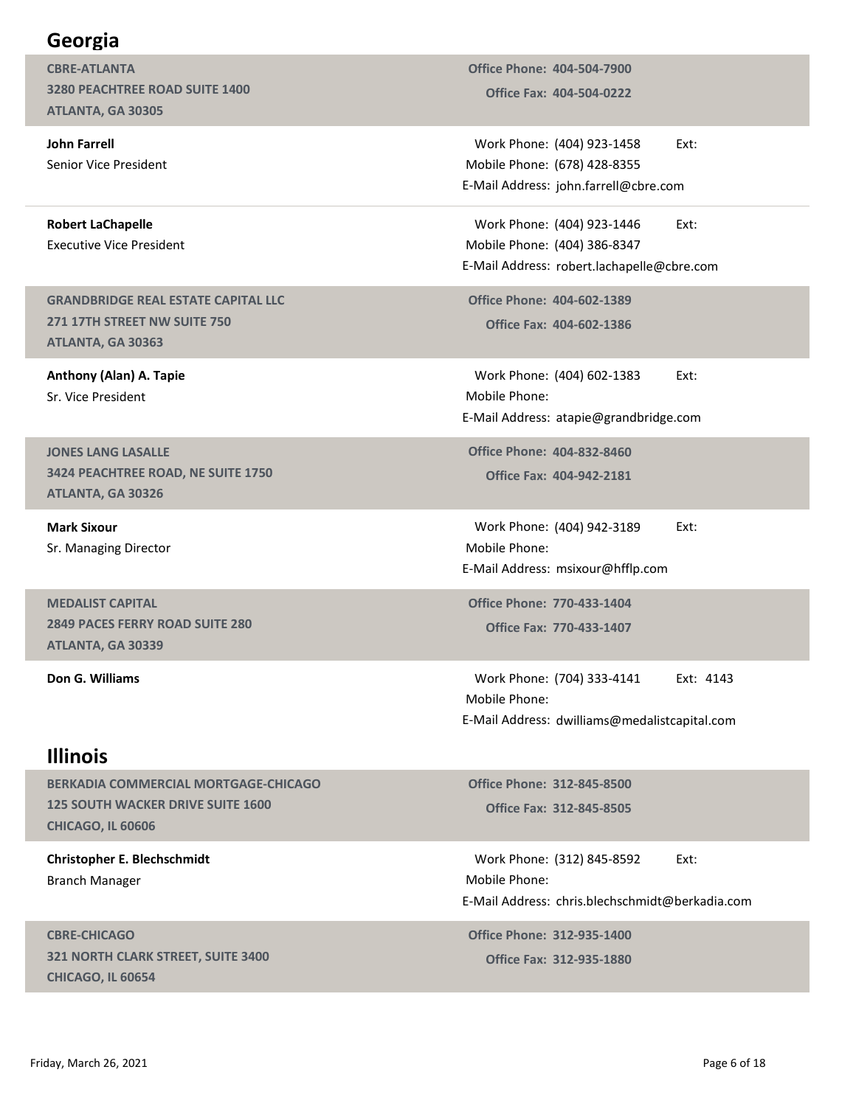## Georgia

CBRE-ATLANTA 3280 PEACHTREE ROAD SUITE 1400 ATLANTA, GA 30305

John Farrell Senior Vice President

Robert LaChapelle Executive Vice President

GRANDBRIDGE REAL ESTATE CAPITAL LLC 271 17TH STREET NW SUITE 750 ATLANTA, GA 30363

Anthony (Alan) A. Tapie Sr. Vice President

JONES LANG LASALLE 3424 PEACHTREE ROAD, NE SUITE 1750 ATLANTA, GA 30326

Mark Sixour Sr. Managing Director

MEDALIST CAPITAL 2849 PACES FERRY ROAD SUITE 280 ATLANTA, GA 30339

#### Illinois

BERKADIA COMMERCIAL MORTGAGE-CHICAGO 125 SOUTH WACKER DRIVE SUITE 1600 CHICAGO, IL 60606

Christopher E. Blechschmidt Branch Manager

CBRE-CHICAGO 321 NORTH CLARK STREET, SUITE 3400 CHICAGO, IL 60654

Office Fax: 404-504-0222 Office Phone: 404-504-7900

Work Phone: (404) 923-1458 Ext: (678) 428-8355 Mobile Phone: Office Phone: 404-504-7900<br>
Office Fax: 404-504-0222<br>
Work Phone: (404) 923-1458 Ext:<br>
Iobile Phone: (678) 428-8355<br>
Mail Address: john.farrell@cbre.com<br>
Work Phone: (404) 923-1446 Ext:<br>
Iobile Phone: (404) 923-1446 Ext:<br> E-Mail Address: john.farrell@cbre.com

Work Phone: (404) 923-1446 Ext: (404) 386-8347 Mobile Phone: office Phone: 404-504-7900<br>
Office Fax: 404-504-0222<br>
Work Phone: (404) 923-1458 Ext:<br>
Iobile Phone: (678) 428-8355<br>
Mail Address: john.farrell@cbre.com<br>
Work Phone: (404) 923-1446 Ext:<br>
Iobile Phone: (404) 386-8347<br>
Mail E-Mail Address: robert.lachapelle@cbre.com office Phone: 404-504-7900<br>
Office Fax: 404-504-0222<br>
Work Phone: (404) 923-1458 Ext:<br>
Iobile Phone: (678) 428-8355<br>
Mail Address: john.farrell@cbre.com<br>
Work Phone: (404) 923-1446 Ext:<br>
Iobile Phone: (404) 923-1446 Ext:<br> ork Phone: (404) 923-1458<br>
Ext:<br>
bile Phone: (678) 428-8355<br>
cali Address: john.farrell@cbre.com<br>
ork Phone: (404) 923-1446<br>
Ext:<br>
bile Phone: (404) 386-8347<br>
ail Address: robert.lachapelle@cbre.com<br>
ice Phone: 404-602-138 Mail Address: john.farrell@cbre.com<br>
Work Phone: (404) 923-1446 Ext:<br>
tobile Phone: (404) 386-8347<br>
Mail Address: robert.lachapelle@cbre.com<br>
office Phone: 404-602-1389<br>
Office Fax: 404-602-1386<br>
Work Phone: (404) 602-1383

Office Fax: 404-602-1386 Office Phone: 404-602-1389

Mobile Phone: E-Mail Address: atapie@grandbridge.com

Office Phone: 404-832-8460

Mobile Phone: E-Mail Address: msixour@hfflp.com

Office Fax: 770-433-1407 Office Phone: 770-433-1404

ATLANTA, GA 30363<br>
Anthony (Alan) A. Taple<br>
Sr. Vice President<br>
Sr. Vice President<br>
Mobile Phone: Ext: (704) 342-4188<br>
SR. Mangling Director<br>
Mark Sixour<br>
Mark Sixour<br>
Mark Sixour<br>
Mark Sixour<br>
Mark Sixour<br>
Mark Sixour<br>
Mo Mobile Phone: E-Mail Address: dwilliams@medalistcapital.com Work Phone: (404) 942-3189 Ext:<br>
Iobile Phone:<br>
Mail Address: msixour@hfflp.com<br>
Iffice Phone: 770-433-1404<br>
Office Fax: 770-433-1407<br>
Work Phone: (704) 333-4141 Ext: 4143<br>
Iobile Phone:<br>
Mail Address: dwilliams@medalistca Office Phone: 770-433-1404<br>
Office Fax: 770-433-1407<br>
Work Phone: (704) 333-4141 Ext: 4143<br>
Mobile Phone:<br>
-Mail Address: dwilliams@medalistcapital.com<br>
Office Phone: 312-845-8500<br>
Office Fax: 312-845-8505<br>
Work Phone: (31

Office Fax: 312-845-8505 Office Phone: 312-845-8500

Mobile Phone: E-Mail Address: chris.blechschmidt@berkadia.com E-Mail Address: dwilliams@medalistcapital.com<br>
EERKADIA COMMERCIAL MORTGAGE-CHICAGO<br>
1975 SOUTH WACKER PAVE SUITE 1600<br>
CHICAGO, IL 60606<br>
CHICAGO, IL 60606<br>
CHICAGO, IL 60606<br>
CHICAGO CHICAGO<br>
SPACING Manager<br>
E-Mail Addr

Office Fax: 312-935-1880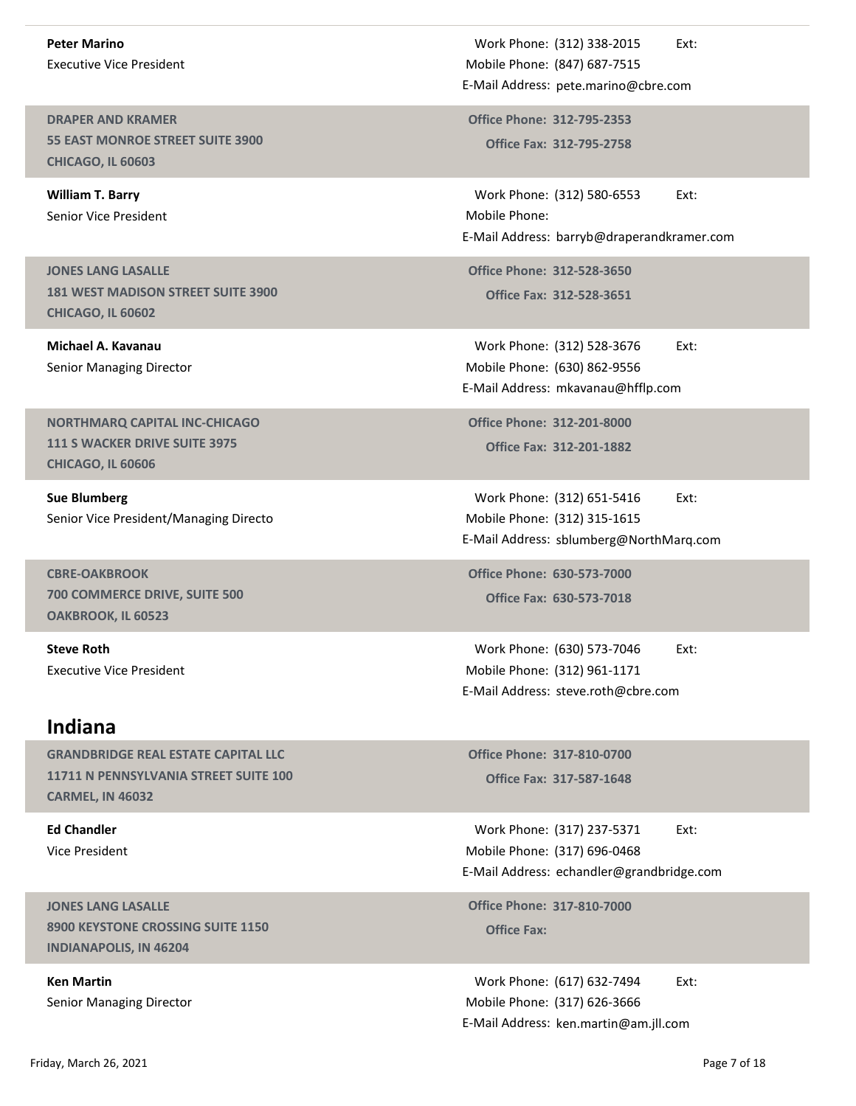Peter Marino Executive Vice President

DRAPER AND KRAMER 55 EAST MONROE STREET SUITE 3900 CHICAGO, IL 60603

William T. Barry Senior Vice President

JONES LANG LASALLE 181 WEST MADISON STREET SUITE 3900 CHICAGO, IL 60602

Michael A. Kavanau Senior Managing Director

NORTHMARQ CAPITAL INC-CHICAGO 111 S WACKER DRIVE SUITE 3975 CHICAGO, IL 60606

Sue Blumberg Senior Vice President/Managing Directo

CBRE-OAKBROOK 700 COMMERCE DRIVE, SUITE 500 OAKBROOK, IL 60523

Steve Roth Executive Vice President

#### Indiana

GRANDBRIDGE REAL ESTATE CAPITAL LLC 11711 N PENNSYLVANIA STREET SUITE 100 CARMEL, IN 46032

Ed Chandler Vice President

JONES LANG LASALLE 8900 KEYSTONE CROSSING SUITE 1150 CHARGES AND THE SERVICE PART Office Fax: INDIANAPOLIS, IN 46204

Ken Martin Senior Managing Director

Work Phone: (312) 338-2015 Ext: (847) 687-7515 Mobile Phone: Work Phone: (312) 338-2015<br>
Iobile Phone: (847) 687-7515<br>
Mail Address: pete.marino@cbre.com<br>
Office Phone: 312-795-2353<br>
Office Fax: 312-795-2758 E-Mail Address: pete.marino@cbre.com Work Phone: (312) 338-2015<br>
Mobile Phone: (847) 687-7515<br>
-Mail Address: pete.marino@cbre.com<br>
Office Phone: 312-795-2353<br>
Office Fax: 312-795-2758<br>
Work Phone: (312) 580-6553 Ext:<br>
Mobile Phone:

Office Fax: 312-795-2758

Work Phone: (312) 338-2015<br>
Iobile Phone: (847) 687-7515<br>
Mail Address: pete.marino@cbre.com<br>
Office Phone: 312-795-2353<br>
Office Fax: 312-795-2758<br>
Work Phone: (312) 580-6553 Ext:<br>
Iobile Phone:<br>
Mail Address: barryb@drape Mobile Phone: Work Phone: (312) 338-2015<br>
E-Mail Address: pete.marino@cbre.com<br>
Office Phone: 312-795-2353<br>
Office Fax: 312-795-2758<br>
Work Phone: (312) 580-6553<br>
E-Mail Address: barryb@draperandkramer.com<br>
Office Phone: 312-528-3650<br>
Of Work Phone: (312) 338-2015<br>
Ext:<br>
tobile Phone: (847) 687-7515<br>
Mail Address: pete.marino@cbre.com<br>
ffice Phone: 312-795-2353<br>
Office Fax: 312-795-2758<br>
Work Phone: (312) 580-6553 Ext:<br>
Iobile Phone: 1312-528-3650<br>
Office Unite Fax: 312-733-2738<br>
Work Phone: (312) 580-6553 Ext:<br>
Idolile Phone:<br>
Mail Address: barryb@draperandkramer.com<br>
Office Fax: 312-528-3650<br>
Office Fax: 312-528-3651<br>
Work Phone: (312) 528-3676 Ext:<br>
Idolile Phone: (630)

Office Fax: 312-528-3651 Office Phone: 312-528-3650

Work Phone: (312) 528-3676 Ext: (630) 862-9556 Mobile Phone: E-Mail Address: mkavanau@hfflp.com

Office Fax: 312-201-1882 Office Phone: 312-201-8000

Work Phone: (312) 651-5416 Ext: Mobile Phone: (312) 315-1615 E-Mail Address: sblumberg@NorthMarq.com Unite Fax: 312-328-3676 Ext:<br>
Interior: (312) 528-3676 Ext:<br>
Interior: (630) 862-9556<br>
Mail Address: mkavanau@hfflp.com<br>
Office Phone: 312-201-1882<br>
Work Phone: (312) 651-5416 Ext:<br>
INTER Mail Address: sblumberg@NorthMarq.

Office Fax: 630-573-7018 Office Phone: 630-573-7000

Work Phone: (630) 573-7046 Ext: (312) 961-1171 Mobile Phone: E-Mail Address: steve.roth@cbre.com

Office Fax: 317-587-1648 Office Phone: 317-810-0700

Work Phone: (317) 237-5371 Ext: Mobile Phone: (317) 696-0468 Work Phone: (312) 651-5416<br>
Iobile Phone: (312) 315-1615<br>
Mail Address: sblumberg@NorthMarq.com<br>
ffice Phone: 630-573-7000<br>
Office Fax: 630-573-7018<br>
Work Phone: (630) 573-7046<br>
Ext:<br>
Noile Phone: (312) 961-1171<br>
Mail Addr E-Mail Address: echandler@grandbridge.com 10 Office Fax: 630-573-7018<br>
Ork Phone: (630) 573-7046<br>
Ext:<br>
bile Phone: (312) 961-1171<br>
ail Address: steve.roth@cbre.com<br>
ice Phone: 317-810-0700<br>
Office Fax: 317-587-1648<br>
Ork Phone: (317) 237-5371<br>
Ext:<br>
bile Phone: (3 Work Phone: (630) 573-7046<br>
Iobile Phone: (312) 961-1171<br>
Mail Address: steve.roth@cbre.com<br>
office Phone: 317-810-0700<br>
office Fax: 317-587-1648<br>
Work Phone: (317) 237-5371 Ext:<br>
Nork Phone: (317) 696-0468<br>
Mail Address: **Indiana**<br>
GRANDBRIDGE REAL ESTATE CAPITAL LLC<br>
11711 N PENNSYLVANIA STREET SUITE 100<br>
CHICLE Fax: 317-587-1648<br>
CARMEL, IN 46032<br>
FAGINE HORE (317) 237-5371 EXt:<br>
MONC President<br>
VICe President<br>
10NES LANG LASALLE<br>
10NES

Office Phone: 317-810-7000

Work Phone: (617) 632-7494 Ext: Mobile Phone: (317) 626-3666 E-Mail Address: ken.martin@am.jll.com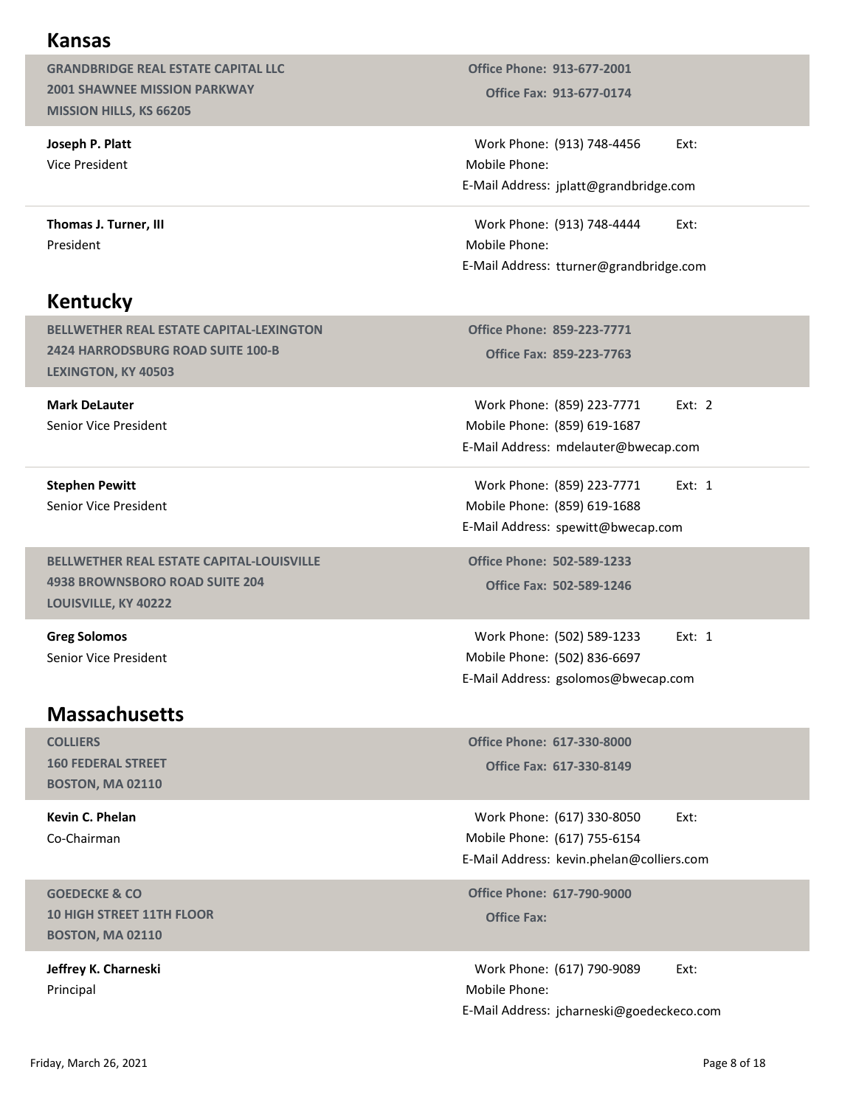#### Kansas

GRANDBRIDGE REAL ESTATE CAPITAL LLC 2001 SHAWNEE MISSION PARKWAY MISSION HILLS, KS 66205

Joseph P. Platt Vice President

Thomas J. Turner, III President

## Kentucky

BELLWETHER REAL ESTATE CAPITAL-LEXINGTON 2424 HARRODSBURG ROAD SUITE 100-B LEXINGTON, KY 40503

Mark DeLauter Senior Vice President

Stephen Pewitt Senior Vice President

BELLWETHER REAL ESTATE CAPITAL-LOUISVILLE 4938 BROWNSBORO ROAD SUITE 204 LOUISVILLE, KY 40222

Greg Solomos Senior Vice President

## **Massachusetts**

COLLIERS 160 FEDERAL STREET BOSTON, MA 02110

Kevin C. Phelan Co-Chairman

GOEDECKE & CO 10 HIGH STREET 11TH FLOOR BOSTON, MA 02110

Jeffrey K. Charneski Principal

Office Fax: 913-677-0174 Office Phone: 913-677-2001

Office Phone: 913-677-2001<br>
Office Fax: 913-677-0174<br>
Work Phone: (913) 748-4456 Ext:<br>
Iobile Phone:<br>
Mail Address: jplatt@grandbridge.com<br>
Work Phone: (913) 748-4444 Ext:<br>
Iobile Phone: Mobile Phone: E-Mail Address: jplatt@grandbridge.com

office Phone: 913-677-2001<br>
Office Fax: 913-677-0174<br>
Work Phone: (913) 748-4456 Ext:<br>
Iobile Phone:<br>
Mail Address: jplatt@grandbridge.com<br>
Work Phone: (913) 748-4444 Ext:<br>
Iobile Phone:<br>
Mail Address: tturner@grandbridge. Mobile Phone: E-Mail Address: tturner@grandbridge.com ice Phone: 913-677-2001<br>Office Fax: 913-677-0174<br>
ork Phone: (913) 748-4456 Ext:<br>
bile Phone:<br>
ail Address: jplatt@grandbridge.com<br>
ork Phone: (913) 748-4444 Ext:<br>
bile Phone:<br>
cial Address: tturner@grandbridge.com<br>
cice P 913-677-2001<br>
913-677-0174<br>
(913) 748-4456 Ext:<br>
jplatt@grandbridge.com<br>
(913) 748-4444 Ext:<br>
tturner@grandbridge.com<br>
859-223-7771<br>
859-223-7771 Ext: 2<br>
(859) 223-7771 Ext: 2<br>
(859) 619-1687<br>
mdelauter@bwecap.com<br>
(859) 2 Office Phone: 913-677-2001<br>
Office Fax: 913-677-0174<br>
Work Phone: (913) 748-4456 Ext:<br>
Mobile Phone:<br>
--Mail Address: jplatt@grandbridge.com<br>
Work Phone: (913) 748-4444 Ext:<br>
Mobile Phone:<br>
--Mail Address: turner@grandbrid (913) 748-4456 Ext:<br>
iplatt@grandbridge.com<br>
(913) 748-4444 Ext:<br>
tturner@grandbridge.com<br>
859-223-7771<br>
859-223-7771 Ext: 2<br>
(859) 223-7771 Ext: 2<br>
(859) 619-1687<br>
mdelauter@bwecap.com<br>
(859) 619-1688<br>
spewitt@bwecap.com<br> Work Phone: (913) 748-4456<br>
Ext:<br>
Mobile Phone:<br>
E-Mail Address: jplatt@grandbridge.com<br>
Work Phone: (913) 748-4444<br>
Ext:<br>
Mobile Phone:<br>
E-Mail Address: turner@grandbridge.com<br>
Office Phone: 859-223-7771<br>
Office Fax: 859-

Office Phone: 859-223-7771

Mobile Phone: (859) 619-1687 E-Mail Address: mdelauter@bwecap.com bile Phone:<br>
iail Address: tturner@grandbridge.com<br>
ice Phone: 859-223-7771<br>
Office Fax: 859-223-7763<br>
ork Phone: (859) 019-1687<br>
iail Address: mdelauter@bwecap.com<br>
ork Phone: (859) 019-1687<br>
iail Address: mdelauter@bweca 859-223-7771<br>
859-223-7763<br>
(859) 223-7771 Ext: 2<br>
(859) 619-1687<br>
mdelauter@bwecap.com<br>
(859) 223-7771 Ext: 1<br>
(859) 619-1688<br>
spewitt@bwecap.com<br>
502-589-1233 Ext: 1<br>
(502) 589-1233 Ext: 1<br>
(502) 589-1233 Ext: 1<br>
(502) 8 Office Phone: 859-223-7771<br>
Office Fax: 859-223-7771<br>
Work Phone: (859) 223-7771 Ext: 2<br>
Mobile Phone: (859) 619-1687<br>
E-Mail Address: mdelauter@bwecap.com<br>
Work Phone: (859) 223-7771 Ext: 1<br>
Mobile Phone: (859) 619-1688<br>

Mobile Phone: (859) 619-1688 E-Mail Address: spewitt@bwecap.com

Office Phone: 502-589-1233

Mobile Phone: (502) 836-6697 E-Mail Address: gsolomos@bwecap.com

Office Fax: 617-330-8149 Office Phone: 617-330-8000

Work Phone: (617) 330-8050 Ext: (617) 755-6154 Mobile Phone: Work Phone: (859) 223-7771 Ext: 1<br>
Iobile Phone: (859) 619-1688<br>
Mail Address: spewitt@bwecap.com<br>
Iffice Phone: 502-589-1233<br>
Office Fax: 502-589-1233 Ext: 1<br>
Work Phone: (502) 589-1233 Ext: 1<br>
Iobile Phone: (502) 836-669 E-Mail Address: kevin.phelan@colliers.com

Office Phone: 617-790-9000<br>Office Fax:

Work Phone: (502) 589-1233<br>
Iobile Phone: (502) 836-6697<br>
Mail Address: gsolomos@bwecap.com<br>
office Phone: 617-330-8000<br>
office Fax: 617-330-8000<br>
Office Fax: 617-330-8050<br>
Ext:<br>
Nork Phone: (617) 755-6154<br>
Mail Address: k Mobile Phone: E-Mail Address: jcharneski@goedeckeco.com Massachusetts<br>
16 FEDERAL STREET<br>
16 FEDERAL STREET<br>
16 FEDERAL STREET<br>
16 FEDERAL STREET<br>
16 FEDERAL STREET<br>
17 FEMail Address: kevin phelan@Colliers.com<br>
16 High STREET<br>
17 High STREET 11TH FLOOR<br>
19 High STREET 11TH FLO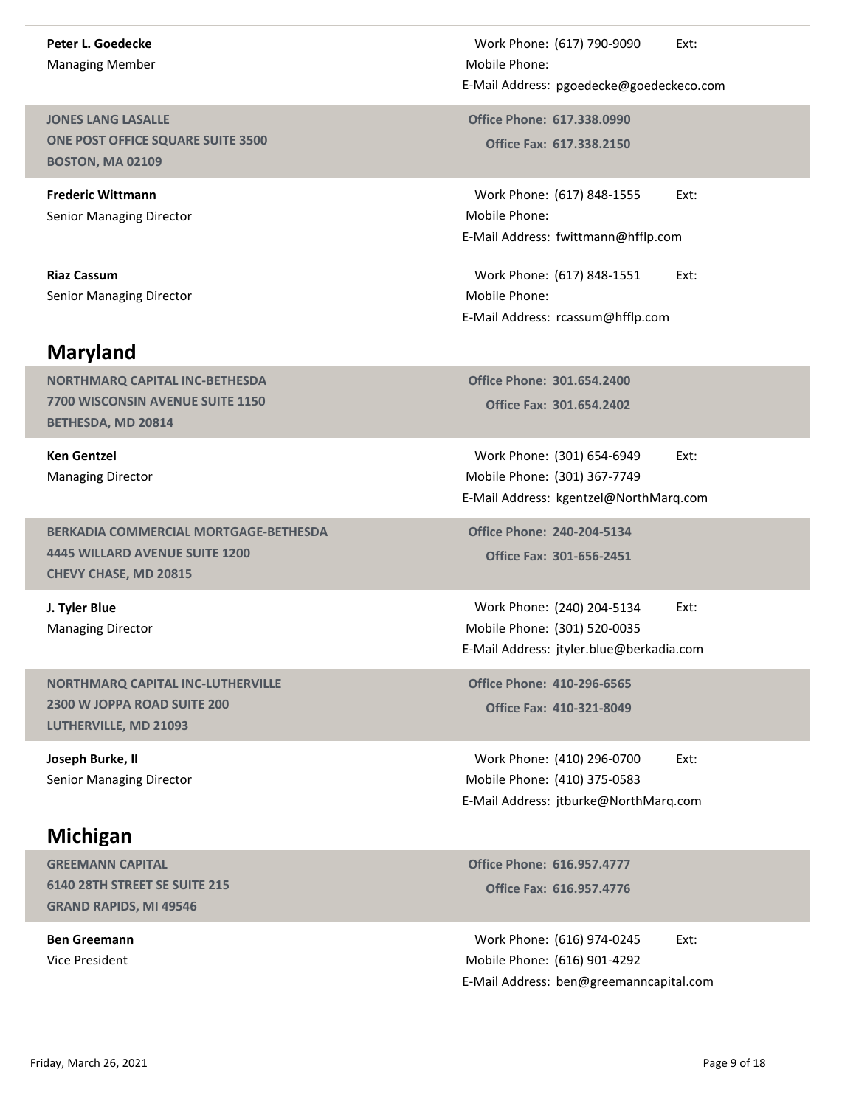#### Peter L. Goedecke Managing Member

JONES LANG LASALLE ONE POST OFFICE SQUARE SUITE 3500 BOSTON, MA 02109

Frederic Wittmann Senior Managing Director

Senior Managing Director

## Maryland

NORTHMARQ CAPITAL INC-BETHESDA 7700 WISCONSIN AVENUE SUITE 1150 BETHESDA, MD 20814

Ken Gentzel Managing Director

BERKADIA COMMERCIAL MORTGAGE-BETHESDA 4445 WILLARD AVENUE SUITE 1200 CHEVY CHASE, MD 20815

J. Tyler Blue Managing Director

NORTHMARQ CAPITAL INC-LUTHERVILLE 2300 W JOPPA ROAD SUITE 200 LUTHERVILLE, MD 21093

Joseph Burke, II Senior Managing Director

## Michigan

GREEMANN CAPITAL 6140 28TH STREET SE SUITE 215 GRAND RAPIDS, MI 49546

Ben Greemann Vice President

Work Phone: (617) 790-9090 Ext:<br>lobile Phone:<br>Mail Address: pgoedecke@goedeckeco.com<br>office Phone: 617.338.0990<br>Office Fax: 617.338.2150 Mobile Phone: E-Mail Address: pgoedecke@goedeckeco.com Work Phone: (617) 790-9090 Ext:<br>
Mobile Phone:<br>
-Mail Address: pgoedecke@goedeckeco.com<br>
Office Phone: 617.338.0990<br>
Office Fax: 617.338.2150<br>
Work Phone: (617) 848-1555 Ext:<br>
Mobile Phone:

Office Fax: 617.338.2150

Work Phone: (617) 790-9090<br>
Iobile Phone:<br>
Mail Address: pgoedecke@goedeckeco.com<br>
Office Phone: 617.338.0990<br>
Office Fax: 617.338.2150<br>
Work Phone: (617) 848-1555 Ext:<br>
Mail Address: fwittmann@hfflp.com<br>
Work Phone: (617) Mobile Phone: Work Phone: (617) 790-9090 Ext:<br>
Mobile Phone:<br>
E-Mail Address: pgoedecke@goedeckeco.com<br>
Office Phone: 617.338.0990<br>
Office Fax: 617.338.2150<br>
Work Phone: (617) 848-1555 Ext:<br>
Mobile Phone:<br>
E-Mail Address: fwittmann@hffl Work Phone: (617) 790-9090<br>
Ext:<br>
Iobile Phone:<br>
Mail Address: pgoedecke@goedeckeco.com<br>
9ffice Phone: 617.338.0990<br>
Office Fax: 617.338.2150<br>
Work Phone: (617) 848-1555 Ext:<br>
Iobile Phone:<br>
Mail Address: fwittmann@hfflp.c

Riaz Cassum **Night Cassum** 2014 12:30 North Phone: (617) 848-1551 Mobile Phone: E-Mail Address: rcassum@hfflp.com

> Office Fax: 301.654.2402 Office Phone: 301.654.2400

Work Phone: (301) 654-6949 Ext: (301) 367-7749 Mobile Phone: office Phone: 617.338.0990<br>
Office Fax: 617.338.2150<br>
Work Phone: (617) 848-1555 Ext:<br>
Itabile Phone:<br>
Mail Address: fwittmann@hfflp.com<br>
Work Phone: (617) 848-1551 Ext:<br>
Itabile Phone:<br>
Itabile Phone: 1301.654.2400<br>
Offic E-Mail Address: kgentzel@NorthMarq.com

Office Fax: 301-656-2451 Office Phone: 240-204-5134

Work Phone: (240) 204-5134 Ext: Mobile Phone: (301) 520-0035 Work Phone: (617) 848-1551 Ext:<br>
Iobile Phone:<br>
Mail Address: rcassum@hfflp.com<br>
Office Fax: 301.654.2400<br>
Office Fax: 301.654.2402<br>
Work Phone: (301) 654-6949 Ext:<br>
Nork Phone: (301) 367-7749<br>
Mail Address: kgentzel@North E-Mail Address: jtyler.blue@berkadia.com ice Phone: 301.654.2400<br>
Office Fax: 301.654.2402<br>
Ork Phone: (301) 654-6949<br>
Ext:<br>
bile Phone: (301) 367-7749<br>
ail Address: kgentzel@NorthMarq.com<br>
ice Phone: 240-204-5134<br>
Office Fax: 301-656-2451<br>
<br>
Ork Phone: (240) 204 Work Phone: (301) 654-6949<br>Work Phone: (301) 654-6949<br>Mail Address: kgentzel@NorthMarq.com<br>The Phone: 240-204-5134<br>Office Fax: 301-656-2451<br>Work Phone: (240) 204-5134<br>Work Phone: (240) 204-5134<br>Mail Address: jtyler.blue@be

Office Phone: 410-296-6565

Work Phone: (410) 296-0700 Ext: (410) 375-0583 Mobile Phone: E-Mail Address: jtburke@NorthMarq.com

Office Fax: 616.957.4776 Office Phone: 616.957.4777

Work Phone: (616) 974-0245 Ext: (616) 901-4292 Mobile Phone: Work Phone: (240) 204-5134<br>
Iobile Phone: (301) 520-0035<br>
Mail Address: jtyler.blue@berkadia.com<br>
Iffice Phone: 410-321-8049<br>
Office Fax: 410-321-8049<br>
Work Phone: (410) 296-0700 Ext:<br>
Nork Phone: (410) 375-0583<br>
Mail Addr E-Mail Address: ben@greemanncapital.com E-Mail Address: bturke, MD 21093<br>
Joseph Burke, II<br>
Senior Managing Director<br>
Michigan<br>
Michigan<br>
Michigan<br>
SEEMANAN CAPITAL<br>
GRAEN AND RAPIDS, MI 49546<br>
Ben Greemann<br>
Vice President<br>
Page 9 of 18<br>
Priday, March 26, 2021<br>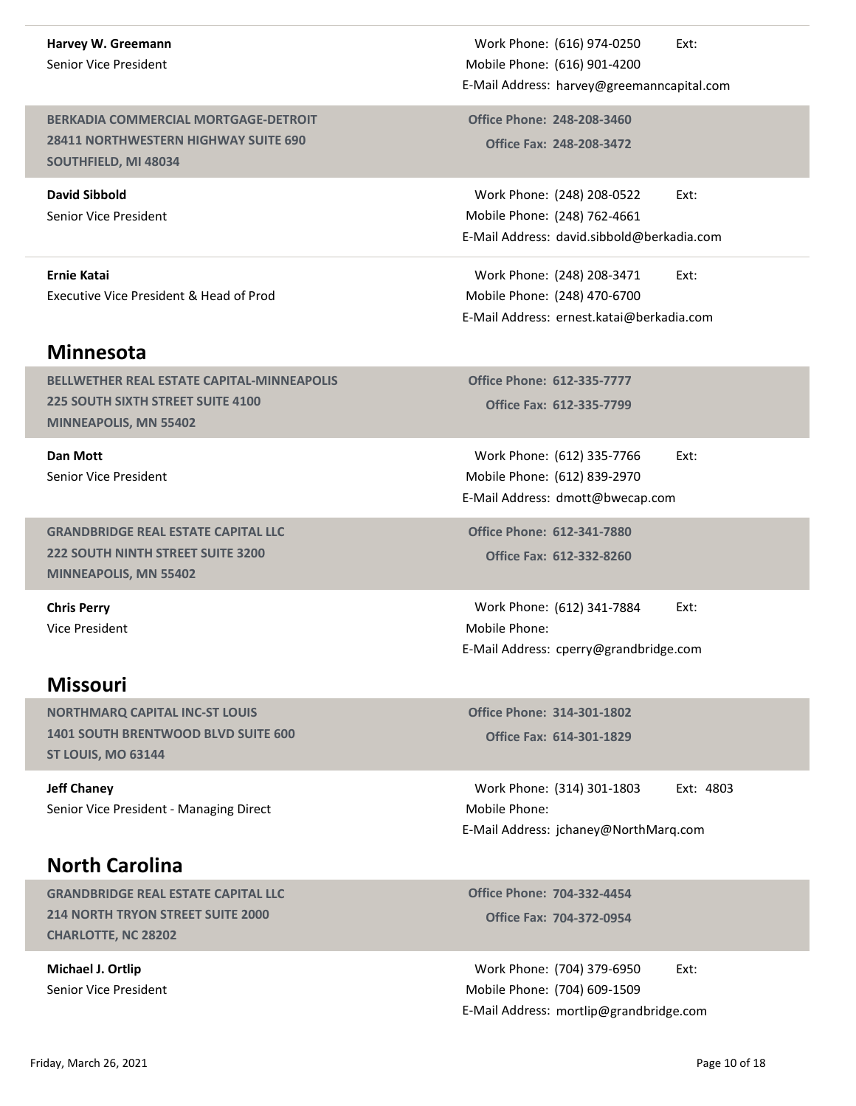# Harvey W. Greemann

Senior Vice President

BERKADIA COMMERCIAL MORTGAGE-DETROIT 28411 NORTHWESTERN HIGHWAY SUITE 690 SOUTHFIELD, MI 48034

David Sibbold Senior Vice President

#### Ernie Katai Executive Vice President & Head of Prod

#### Minnesota

BELLWETHER REAL ESTATE CAPITAL-MINNEAPOLIS 225 SOUTH SIXTH STREET SUITE 4100 MINNEAPOLIS, MN 55402

Dan Mott Senior Vice President

GRANDBRIDGE REAL ESTATE CAPITAL LLC 222 SOUTH NINTH STREET SUITE 3200 MINNEAPOLIS, MN 55402

Chris Perry Vice President

## Missouri

NORTHMARQ CAPITAL INC-ST LOUIS 1401 SOUTH BRENTWOOD BLVD SUITE 600 ST LOUIS, MO 63144

Jeff Chaney Senior Vice President - Managing Direct

# North Carolina

GRANDBRIDGE REAL ESTATE CAPITAL LLC 214 NORTH TRYON STREET SUITE 2000 CHARLOTTE, NC 28202

Michael J. Ortlip Senior Vice President

Work Phone: (616) 974-0250 Ext: (616) 901-4200 Mobile Phone: Work Phone: (616) 974-0250 Ext:<br>
Iobile Phone: (616) 901-4200<br>
Mail Address: harvey@greemanncapital.com<br>
Office Phone: 248-208-3460<br>
Office Fax: 248-208-3472 E-Mail Address: harvey@greemanncapital.com Work Phone: (616) 974-0250 Ext:<br>
Mobile Phone: (616) 901-4200<br>
-Mail Address: harvey@greemanncapital.com<br>
Office Phone: 248-208-3460<br>
Office Fax: 248-208-3472<br>
Work Phone: (248) 208-0522 Ext:<br>
Mobile Phone: (248) 762-4661

Office Fax: 248-208-3472

Work Phone: (248) 208-0522 Ext: (248) 762-4661 Mobile Phone: Work Phone: (616) 974-0250 Ext:<br>
Iobile Phone: (616) 901-4200<br>
Mail Address: harvey@greemanncapital.com<br>
Office Phone: 248-208-3460<br>
Office Fax: 248-208-3472<br>
Work Phone: (248) 208-0522 Ext:<br>
Iobile Phone: (248) 762-4661<br> Work Phone: (616) 974-0250 Ext:<br>
Mobile Phone: (616) 901-4200<br>
E-Mail Address: harvey@greemanncapital.com<br>
Office Phone: 248-208-3460<br>
Office Fax: 248-208-3472<br>
Work Phone: (248) 208-0522 Ext:<br>
Mobile Phone: (248) 762-4661 Work Phone: (616) 974-0250 Ext:<br>
Iobile Phone: (616) 901-4200<br>
Mail Address: harvey@greemanncapital.com<br>
Office Phone: 248-208-3460<br>
Office Fax: 248-208-3472<br>
Work Phone: (248) 208-0522 Ext:<br>
Iobile Phone: (248) 762-4661<br> office Phone: 248-208-3460<br>
Office Fax: 248-208-3472<br>
Work Phone: (248) 208-0522 Ext:<br>
Itabile Phone: (248) 762-4661<br>
Mail Address: david.sibbold@berkadia.com<br>
Work Phone: (248) 208-3471 Ext:<br>
Itabile Phone: (248) 470-6700

Work Phone: (248) 208-3471 Ext: (248) 470-6700 Mobile Phone: E-Mail Address: ernest.katai@berkadia.com

Office Fax: 612-335-7799 Office Phone: 612-335-7777

Work Phone: (612) 335-7766 Ext: (612) 839-2970 Mobile Phone: E-Mail Address: dmott@bwecap.com

Office Fax: 612-332-8260 Office Phone: 612-341-7880

Work Phone: (248) 208-3471 Ext:<br>
Iobile Phone: (248) 470-6700<br>
Mail Address: ernest.katai@berkadia.com<br>
9ffice Phone: 612-335-7777<br>
Office Fax: 612-335-7799<br>
Work Phone: (612) 335-7766 Ext:<br>
Iobile Phone: (612) 335-7766 Ex Mobile Phone: E-Mail Address: cperry@grandbridge.com

Office Fax: 614-301-1829 Office Phone: 314-301-1802

Work Phone: (612) 335-7766<br>
Iobile Phone: (612) 839-2970<br>
Mail Address: dmott@bwecap.com<br>
Iffice Phone: 612-341-7880<br>
Office Fax: 612-332-8260<br>
Work Phone: (612) 341-7884 Ext:<br>
Iobile Phone:<br>
Mail Address: cperry@grandbrid Mobile Phone: Mobile Phone: 6127 6339-2370<br>
E-Mail Address: dmott@bwecap.com<br>
Office Phone: 612-341-7880<br>
Office Fax: 612-332-8260<br>
Work Phone: (612) 341-7884 Ext:<br>
Mobile Phone:<br>
E-Mail Address: cperry@grandbridge.com<br>
Office Phone: 31 Iobile Phone:<br>
Mail Address: cperry@grandbridge.com<br>
Office Phone: 314-301-1802<br>
Office Fax: 614-301-1829<br>
Work Phone: (314) 301-1803 Ext: 4803<br>
Mork Phone: (314) 301-1803 Ext: 4803<br>
Office Phone: 704-332-4454<br>
Office Fax: NORTHMARQ CAPITAL INC-SITE ON THE MARIOTE, NC 28202<br>
Month Carolina<br>
Senior Vice President - Managing Direct<br> **North Carolina**<br>
Senior Vice President - Managing Direct<br>
Month Page 10 of 18<br>
214 NORTH TRYON STREET SUITE 200

Office Fax: 704-372-0954 Office Phone: 704-332-4454

Work Phone: (704) 379-6950 Ext: Mobile Phone: (704) 609-1509 E-Mail Address: mortlip@grandbridge.com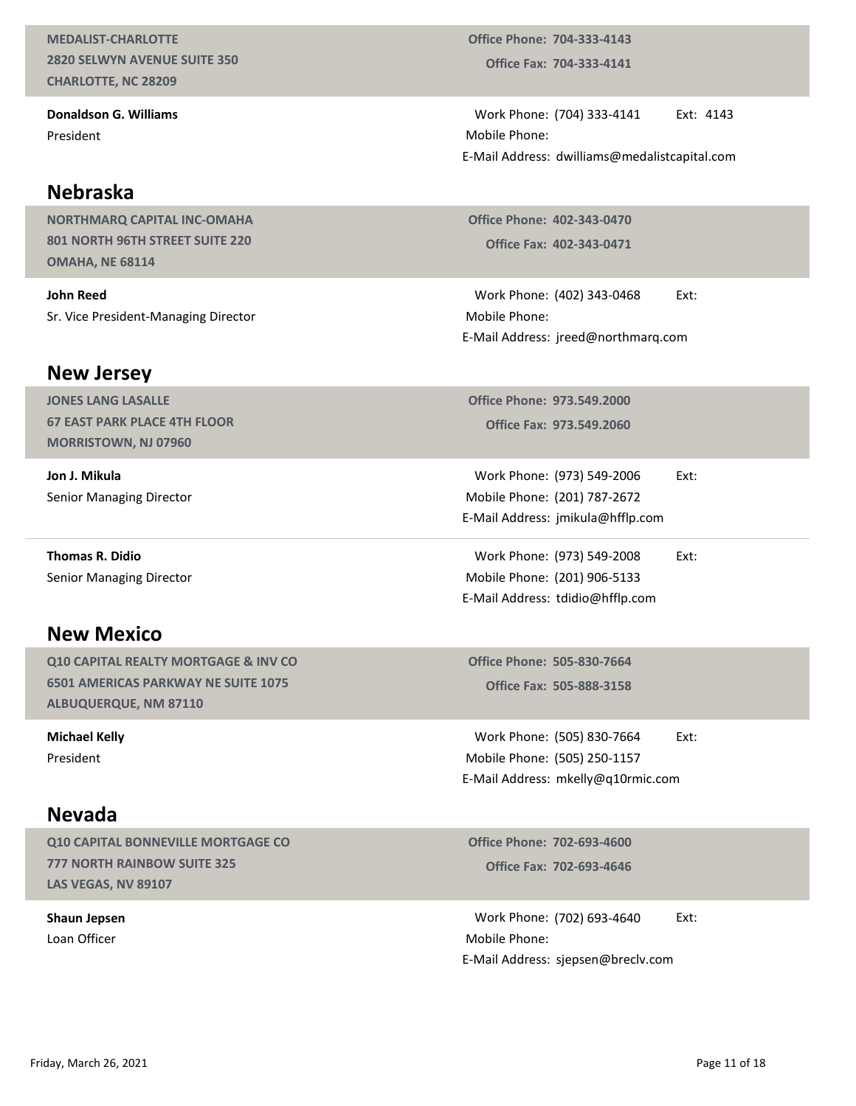MEDALIST-CHARLOTTE 2820 SELWYN AVENUE SUITE 350 CHARLOTTE, NC 28209

Donaldson G. Williams President

#### Nebraska

NORTHMARQ CAPITAL INC-OMAHA 801 NORTH 96TH STREET SUITE 220 OMAHA, NE 68114

John Reed Sr. Vice President-Managing Director

#### New Jersey

JONES LANG LASALLE 67 EAST PARK PLACE 4TH FLOOR MORRISTOWN, NJ 07960

Jon J. Mikula Senior Managing Director

Thomas R. Didio Senior Managing Director

## New Mexico

Q10 CAPITAL REALTY MORTGAGE & INV CO 6501 AMERICAS PARKWAY NE SUITE 1075 ALBUQUERQUE, NM 87110

Michael Kelly President

#### Nevada

Q10 CAPITAL BONNEVILLE MORTGAGE CO 777 NORTH RAINBOW SUITE 325 LAS VEGAS, NV 89107

Shaun Jepsen Loan Officer

Office Fax: 704-333-4141 Office Phone: 704-333-4143

Office Phone: 704-333-4143<br>
Office Fax: 704-333-4141<br>
Work Phone: (704) 333-4141 Ext: 4143<br>
Iobile Phone:<br>
Mail Address: dwilliams@medalistcapital.com<br>
Affice Phone: 403-343-0430 Mobile Phone: E-Mail Address: dwilliams@medalistcapital.com ice Phone: 704-333-4143<br>Office Fax: 704-333-4141<br>Ork Phone: (704) 333-4141 Ext: 4143<br>bile Phone:<br>ail Address: dwilliams@medalistcapital.com<br>ice Phone: 402-343-0470<br>Office Fax: 402-343-0471<br>Ork Phone: (402) 343-0468 Ext:<br>bi Miffice Phone: 704-333-4143<br>
Office Fax: 704-333-4141<br>
Work Phone: (704) 333-4141 Ext: 4143<br>
Iobile Phone:<br>
Mail Address: dwilliams@medalistcapital.com<br>
Office Phone: 402-343-0470<br>
Work Phone: (402) 343-0468 Ext:<br>
Iobile P

Office Phone: 402-343-0470

Mobile Phone: E-Mail Address: jreed@northmarq.com Iobile Phone:<br>
Mail Address: dwilliams@medalistcapital.com<br>
Office Phone: 402-343-0470<br>
Office Fax: 402-343-0471<br>
Work Phone: (402) 343-0468 Ext:<br>
Iobile Phone:<br>
Mail Address: jreed@northmarq.com<br>
Office Fax: 973.549.2000<br>

Office Fax: 973.549.2060 Office Phone: 973.549.2000

Work Phone: (973) 549-2006 Ext: (201) 787-2672 Mobile Phone: E-Mail Address: jmikula@hfflp.com

Work Phone: (973) 549-2008 Ext: (201) 906-5133 Mobile Phone: office Phone: 402-343-0470<br>
Office Fax: 402-343-0471<br>
Work Phone: (402) 343-0468 Ext:<br>
Iobile Phone:<br>
Mail Address: jreed@northmarq.com<br>
Office Phone: 973.549.2000<br>
Office Fax: 973.549.2000<br>
Work Phone: (973) 549-2006 Ext: E-Mail Address: tdidio@hfflp.com office Phone: 973.549.2000<br>
Office Fax: 973.549.2060<br>
Work Phone: (973) 549-2006<br>
Ext:<br>
Iobile Phone: (201) 787-2672<br>
Mail Address: jmikula@hfflp.com<br>
Work Phone: (973) 549-2008<br>
Ext:<br>
Nork Phone: (201) 906-5133<br>
Mail Addr

Office Fax: 505-888-3158 Office Phone: 505-830-7664

Work Phone: (505) 830-7664 Ext: Mobile Phone: (505) 250-1157 E-Mail Address: mkelly@q10rmic.com

Office Fax: 702-693-4646 Office Phone: 702-693-4600

lobile Phone: (201) 906-5133<br>
Mail Address: tdidio@hfflp.com<br>
office Phone: 505-830-7664<br>
Office Fax: 505-888-3158<br>
Work Phone: (505) 830-7664 Ext:<br>
Noile Phone: (505) 250-1157<br>
Mail Address: mkelly@q10rmic.com<br>
Office Pho Mobile Phone: E-Mail Address: sjepsen@breclv.com Michael Kelly<br>
President<br>
President<br>
President<br>
Mobile Phone: (505) 250-7157<br>
E-Mail Address: mkelly@q10rmic.com<br> **NeVada**<br>
210 CAPITAL BONNEVILLE MORTGAGE CO<br>
217 NORTH RAINBOW SUITE 325<br>
25 VEGAS, NV 8307<br>
Shaun Jepsen<br>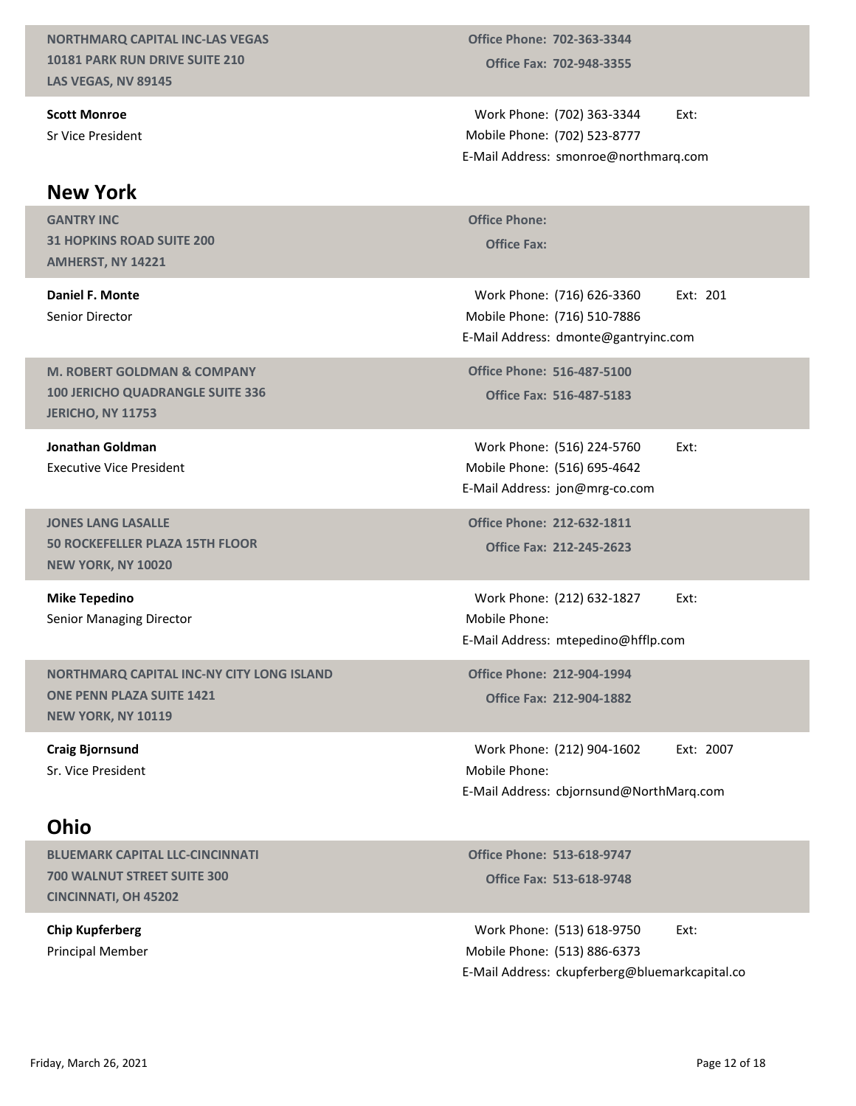#### NORTHMARQ CAPITAL INC-LAS VEGAS 10181 PARK RUN DRIVE SUITE 210 LAS VEGAS, NV 89145

Scott Monroe Sr Vice President

#### New York

GANTRY INC 31 HOPKINS ROAD SUITE 200 AMHERST, NY 14221 GANTRY INC<br>
31 HOPKINS ROAD SUITE 200<br>
AMHERST, NY 14221<br>
Daniel F. Monte

Senior Director

M. ROBERT GOLDMAN & COMPANY 100 JERICHO QUADRANGLE SUITE 336 JERICHO, NY 11753

Jonathan Goldman Executive Vice President

JONES LANG LASALLE 50 ROCKEFELLER PLAZA 15TH FLOOR NEW YORK, NY 10020

Mike Tepedino Senior Managing Director

NORTHMARQ CAPITAL INC-NY CITY LONG ISLAND ONE PENN PLAZA SUITE 1421 NEW YORK, NY 10119

Craig Bjornsund Sr. Vice President

## Ohio

BLUEMARK CAPITAL LLC-CINCINNATI 700 WALNUT STREET SUITE 300 CINCINNATI, OH 45202

Chip Kupferberg Principal Member

Office Fax: 702-948-3355 Office Phone: 702-363-3344

Work Phone: (702) 363-3344 Ext: (702) 523-8777 Mobile Phone: Office Phone: 702-363-3344<br>
Office Fax: 702-948-3355<br>
Work Phone: (702) 363-3344<br>
Iobile Phone: (702) 523-8777<br>
Mail Address: smonroe@northmarq.com<br>
Affice Phone: E-Mail Address: smonroe@northmarq.com

ice Phone: 702-363-3344<br>Office Fax: 702-948-3355<br>Ork Phone: (702) 363-3344<br>Ext:<br>bile Phone: (702) 523-8777<br>ail Address: smonroe@northmarq.com<br>ice Phone:<br>Office Fax:<br>Ork Phone: (716) 626-3360 Ext: 201<br>bile Phone: (716) 510-702-363-3344<br>
702-948-3355<br>
(702) 363-3344 Ext:<br>
(702) 523-8777<br>
smonroe@northmarq.com<br>
(716) 626-3360 Ext: 201<br>
(716) 510-7886<br>
dmonte@gantryinc.com<br>
516-487-5100<br>
516-487-5183 Mobile Phone: (716) 510-7886 Marie Phone: 702-363-3344<br>
Office Fax: 702-948-3355<br>
Work Phone: (702) 363-3344<br>
Ext:<br>
Iobile Phone: (702) 523-8777<br>
Mail Address: smonroe@northmarq.com<br>
Office Phone: (716) 626-3360<br>
Ext: 201<br>
Iobile Phone: (716) 510-7886 E-Mail Address: dmonte@gantryinc.com Work Phone: (702) 363-3344<br>
Iobile Phone: (702) 523-8777<br>
Mail Address: smonroe@northmarq.com<br>
Office Phone:<br>
Office Fax:<br>
Work Phone: (716) 626-3360 Ext: 201<br>
Nork Phone: (716) 510-7886<br>
Mail Address: dmonte@gantryinc.com Work Phone: (716) 626-3360 Ext: 201<br>
Mork Phone: (716) 510-7886<br>
Mail Address: dmonte@gantryinc.com<br>
office Phone: 516-487-5100<br>
Office Fax: 516-487-5183<br>
Work Phone: (516) 224-5760 Ext:<br>
Mork Phone: (516) 695-4642<br>
Mail A

Office Fax: 516-487-5183 Office Phone: 516-487-5100

Work Phone: (516) 224-5760 Ext: Mobile Phone: (516) 695-4642 E-Mail Address: jon@mrg-co.com

Office Fax: 212-245-2623 Office Phone: 212-632-1811

Mobile Phone: E-Mail Address: mtepedino@hfflp.com

Office Phone: 212-904-1994

ice Phone: 516-487-5100<br>
Office Fax: 516-487-5183<br>
Ork Phone: (516) 224-5760 Ext:<br>
bile Phone: (516) 695-4642<br>
ail Address: jon@mrg-co.com<br>
ice Phone: 212-632-1811<br>
Office Fax: 212-245-2623<br>
Nork Phone: (212) 632-1827 Ext: Unce Fax: 310-407-3183<br>
Work Phone: (516) 224-5760 Ext:<br>
Idobile Phone: (516) 695-4642<br>
Mail Address: jon@mrg-co.com<br>
Iffice Phone: 212-632-1811<br>
Office Fax: 212-245-2623<br>
Work Phone: (212) 632-1827 Ext:<br>
Idobile Phone:<br>
M Mobile Phone: E-Mail Address: cbjornsund@NorthMarq.com Work Phone: (212) 632-1827<br>
Iobile Phone:<br>
Mail Address: mtepedino@hfflp.com<br>
Mfice Phone: 212-904-1994<br>
Office Fax: 212-904-1882<br>
Work Phone: (212) 904-1602 Ext: 2007<br>
Noike Phone: (212) 904-1602 Ext: 2007<br>
Moike Phone: C NEW YORK, NY 10119<br>
Craig Bjornsund<br>
Sr. Vice President<br>
Sr. Vice President<br>
Mobile Phone: (212) 904-1602 Ext: 2007<br>
E-Mail Address: chipmsund@NorthMarq.com<br> **ONIO**<br>
BLUEMARK CAPITAL LLC-CINCINNATI<br>
700 WALNUT STREET SUITE

Office Fax: 513-618-9748 Office Phone: 513-618-9747

Work Phone: (513) 618-9750 Ext: Mobile Phone: (513) 886-6373 E-Mail Address: ckupferberg@bluemarkcapital.co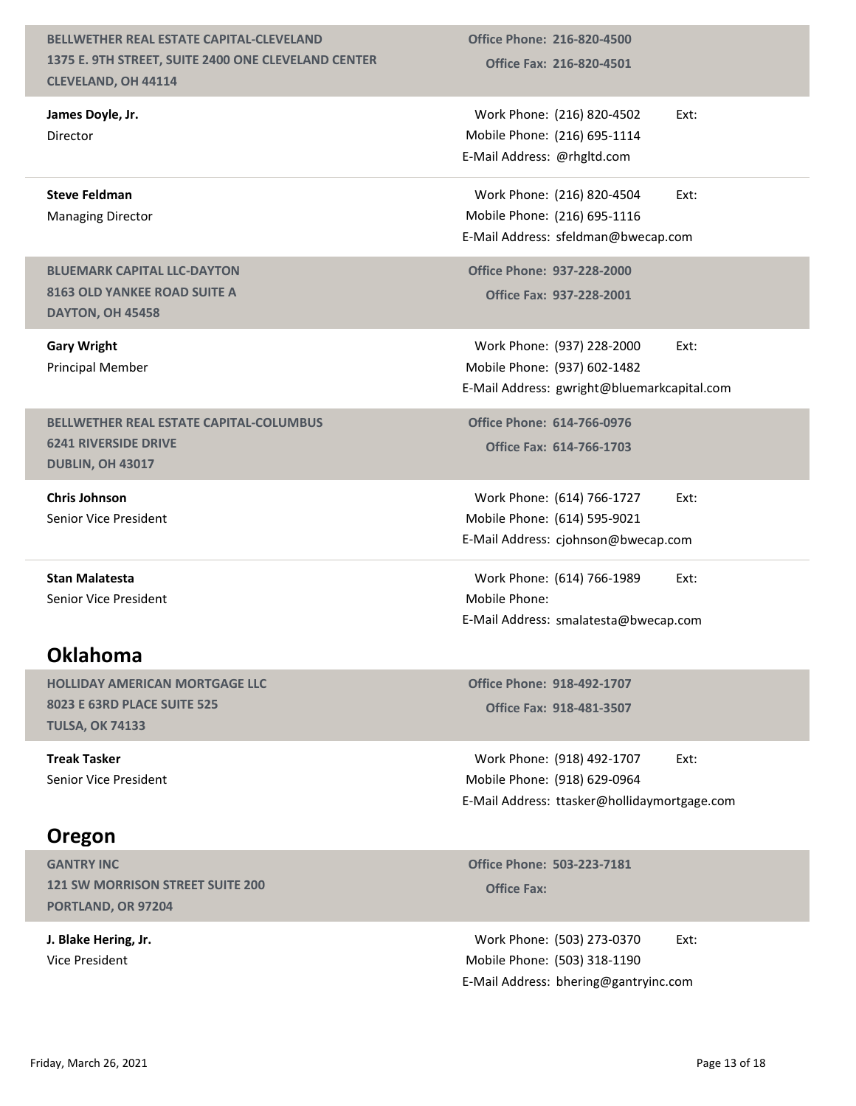#### BELLWETHER REAL ESTATE CAPITAL-CLEVELAND 1375 E. 9TH STREET, SUITE 2400 ONE CLEVELAND CENTER CLEVELAND, OH 44114

James Doyle, Jr. Director

Steve Feldman Managing Director

#### BLUEMARK CAPITAL LLC-DAYTON 8163 OLD YANKEE ROAD SUITE A DAYTON, OH 45458

Gary Wright Principal Member

#### BELLWETHER REAL ESTATE CAPITAL-COLUMBUS 6241 RIVERSIDE DRIVE DUBLIN, OH 43017

Chris Johnson Senior Vice President

Stan Malatesta Senior Vice President

## Oklahoma

HOLLIDAY AMERICAN MORTGAGE LLC 8023 E 63RD PLACE SUITE 525 TULSA, OK 74133

Treak Tasker Senior Vice President

# Oregon

GANTRY INC 121 SW MORRISON STREET SUITE 200 PORTLAND, OR 97204

J. Blake Hering, Jr. Vice President

Office Fax: 216-820-4501 Office Phone: 216-820-4500

Work Phone: (216) 820-4502 Ext: Mobile Phone: (216) 695-1114 Office Phone: 216-820-4500<br>
Office Fax: 216-820-4501<br>
Work Phone: (216) 820-4502 Ext:<br>
Iobile Phone: (216) 695-1114<br>
Mail Address: @rhgltd.com<br>
Work Phone: (216) 820-4504 Ext:<br>
Iobile Phone: (216) 695-1116 E-Mail Address: @rhgltd.com Office Phone: 216-820-4500<br>
Office Fax: 216-820-4501<br>
Work Phone: (216) 820-4502 Ext:<br>
Iobile Phone: (216) 695-1114<br>
Mail Address: @rhgltd.com<br>
Work Phone: (216) 820-4504 Ext:<br>
Iobile Phone: (216) 695-1116<br>
Mail Address: s Office Phone: 216-820-4500<br>
Office Fax: 216-820-4501<br>
Work Phone: (216) 820-4502 Ext:<br>
Mobile Phone: (216) 695-1114<br>
E-Mail Address: @rhgltd.com<br>
Work Phone: (216) 820-4504 Ext:<br>
Mobile Phone: (216) 695-1116<br>
E-Mail Addres

Work Phone: (216) 820-4504 Ext: (216) 695-1116 Mobile Phone:

Office Fax: 937-228-2001 Office Phone: 937-228-2000

Work Phone: (937) 228-2000 Ext: (937) 602-1482 Mobile Phone: office Phone: 216-820-4500<br>
Office Fax: 216-820-4501<br>
Work Phone: (216) 820-4502<br>
Work Phone: (216) 895-1114<br>
Mail Address: @rhgltd.com<br>
Work Phone: (216) 820-4504 Ext:<br>
Iobile Phone: (216) 895-1116<br>
Mail Address: sfeldman E-Mail Address: gwright@bluemarkcapital.com Mail Address: @rhgltd.com<br>
Work Phone: (216) 820-4504 Ext:<br>
tobile Phone: (216) 695-1116<br>
Mail Address: sfeldman@bwecap.com<br>
office Phone: 937-228-2000<br>
Office Fax: 937-228-2001<br>
Work Phone: (937) 228-2000 Ext:<br>
Nork Phone Mail Address: sfeldman@bwecap.com<br>
Office Phone: 937-228-2000<br>
Office Fax: 937-228-2001<br>
Work Phone: (937) 228-2000 Ext:<br>
Iobile Phone: (937) 602-1482<br>
Mail Address: gwright@bluemarkcapital.com<br>
Office Phone: 614-766-0976<br>

Office Fax: 614-766-1703 Office Phone: 614-766-0976

Work Phone: (614) 766-1727 Ext: (614) 595-9021 Mobile Phone: E-Mail Address: cjohnson@bwecap.com

Mobile Phone: E-Mail Address: smalatesta@bwecap.com

Office Phone: 918-492-1707

bile Phone: (937) 602-1482<br>
ail Address: gwright@bluemarkcapital.com<br>
ice Phone: 614-766-0976<br>
Office Fax: 614-766-1703<br>
ork Phone: (614) 766-1727 Ext:<br>
bile Phone: (614) 595-9021<br>
ail Address: cjohnson@bwecap.com<br>
ork Pho Work Phone: (918) 492-1707 Ext: Mobile Phone: (918) 629-0964 office Phone: 614-766-0976<br>
Office Fax: 614-766-1703<br>
Work Phone: (614) 766-1727 Ext:<br>
Itabile Phone: (614) 595-9021<br>
Mail Address: cjohnson@bwecap.com<br>
Work Phone: (614) 766-1989 Ext:<br>
Mork Phone: 1918-492-1707<br>
Office Ph E-Mail Address: ttasker@hollidaymortgage.com Iobile Phone:<br>
Mail Address: smalatesta@bwecap.com<br>
Ioffice Phone: 918-492-1707<br>
Office Fax: 918-481-3507<br>
Work Phone: (918) 492-1707 Ext:<br>
Noile Phone: (918) 629-0964<br>
Mail Address: ttasker@hollidaymortgage.com<br>
Ioffice P TULSA, OK 74133<br>
Treak Tasker<br>
Senior Vice President<br>
Senior Vice President<br> **CPEGON**<br> **CPEGON**<br> **CPEGON**<br> **CPEGON**<br> **CPEGON**<br> **CPEGON**<br> **CPEGON**<br> **CPEGON**<br> **CPEGON**<br> **CPEGON**<br> **CPEGON**<br> **CPEGON**<br> **CPEGON**<br> **CPEGON**<br> **CPEG** 

**Office Phone: 503-223-7181** 

Work Phone: (503) 273-0370 Ext: Mobile Phone: (503) 318-1190 E-Mail Address: bhering@gantryinc.com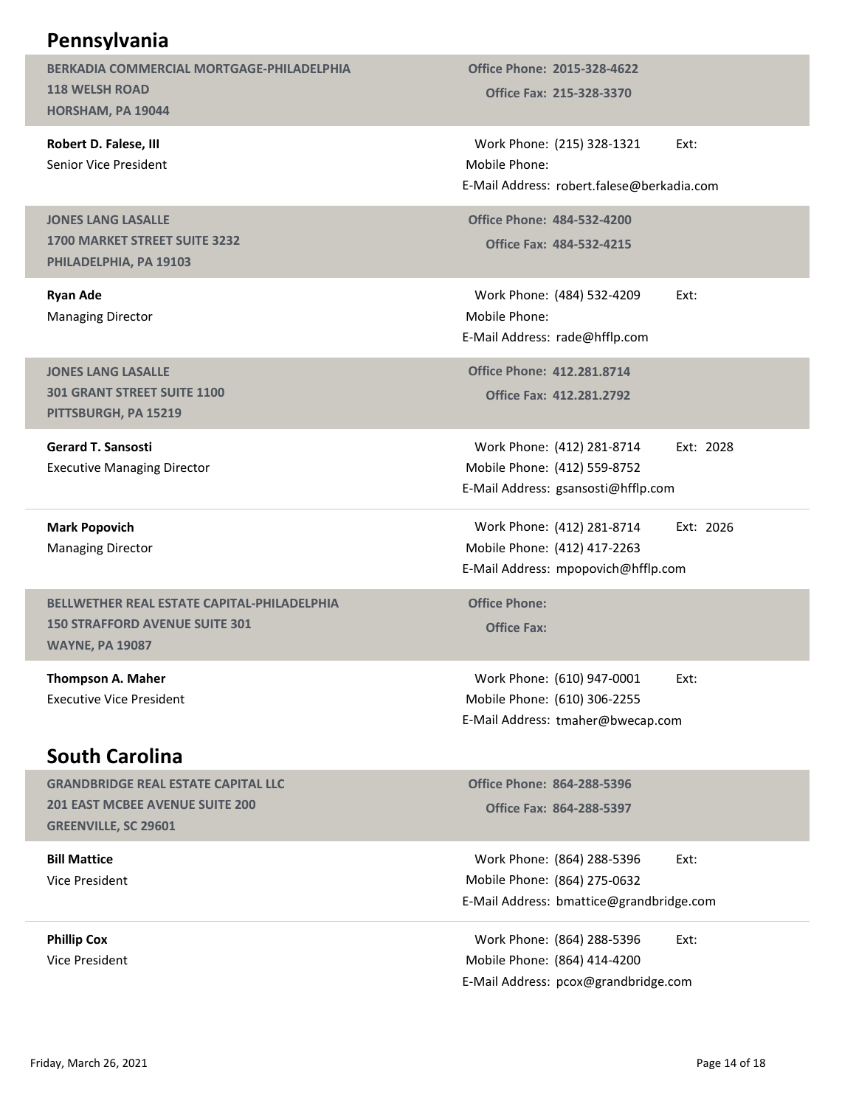| Pennsylvania<br>BERKADIA COMMERCIAL MORTGAGE-PHILADELPHIA<br><b>118 WELSH ROAD</b><br>HORSHAM, PA 19044        | <b>Office Phone: 2015-328-4622</b><br><b>Office Fax: 215-328-3370</b>                                  |               |
|----------------------------------------------------------------------------------------------------------------|--------------------------------------------------------------------------------------------------------|---------------|
| Robert D. Falese, III<br>Senior Vice President                                                                 | Work Phone: (215) 328-1321<br>Mobile Phone:<br>E-Mail Address: robert.falese@berkadia.com              | Ext:          |
| <b>JONES LANG LASALLE</b><br>1700 MARKET STREET SUITE 3232<br>PHILADELPHIA, PA 19103                           | <b>Office Phone: 484-532-4200</b><br><b>Office Fax: 484-532-4215</b>                                   |               |
| <b>Ryan Ade</b><br><b>Managing Director</b>                                                                    | Work Phone: (484) 532-4209<br>Mobile Phone:<br>E-Mail Address: rade@hfflp.com                          | Ext:          |
| <b>JONES LANG LASALLE</b><br>301 GRANT STREET SUITE 1100<br>PITTSBURGH, PA 15219                               | <b>Office Phone: 412.281.8714</b><br><b>Office Fax: 412.281.2792</b>                                   |               |
| <b>Gerard T. Sansosti</b><br><b>Executive Managing Director</b>                                                | Work Phone: (412) 281-8714<br>Mobile Phone: (412) 559-8752<br>E-Mail Address: gsansosti@hfflp.com      | Ext: 2028     |
| <b>Mark Popovich</b><br><b>Managing Director</b>                                                               | Work Phone: (412) 281-8714<br>Mobile Phone: (412) 417-2263<br>E-Mail Address: mpopovich@hfflp.com      | Ext: 2026     |
| BELLWETHER REAL ESTATE CAPITAL-PHILADELPHIA<br><b>150 STRAFFORD AVENUE SUITE 301</b><br><b>WAYNE, PA 19087</b> | <b>Office Phone:</b><br><b>Office Fax:</b>                                                             |               |
| Thompson A. Maher<br><b>Executive Vice President</b>                                                           | Work Phone: (610) 947-0001<br>Mobile Phone: (610) 306-2255<br>E-Mail Address: tmaher@bwecap.com        | Ext:          |
| <b>South Carolina</b>                                                                                          |                                                                                                        |               |
| <b>GRANDBRIDGE REAL ESTATE CAPITAL LLC</b><br>201 EAST MCBEE AVENUE SUITE 200<br><b>GREENVILLE, SC 29601</b>   | <b>Office Phone: 864-288-5396</b><br>Office Fax: 864-288-5397                                          |               |
| <b>Bill Mattice</b><br>Vice President                                                                          | Work Phone: (864) 288-5396<br>Mobile Phone: (864) 275-0632<br>E-Mail Address: bmattice@grandbridge.com | Ext:          |
| <b>Phillip Cox</b><br>Vice President                                                                           | Work Phone: (864) 288-5396<br>Mobile Phone: (864) 414-4200<br>E-Mail Address: pcox@grandbridge.com     | Ext:          |
| Friday, March 26, 2021                                                                                         |                                                                                                        | Page 14 of 18 |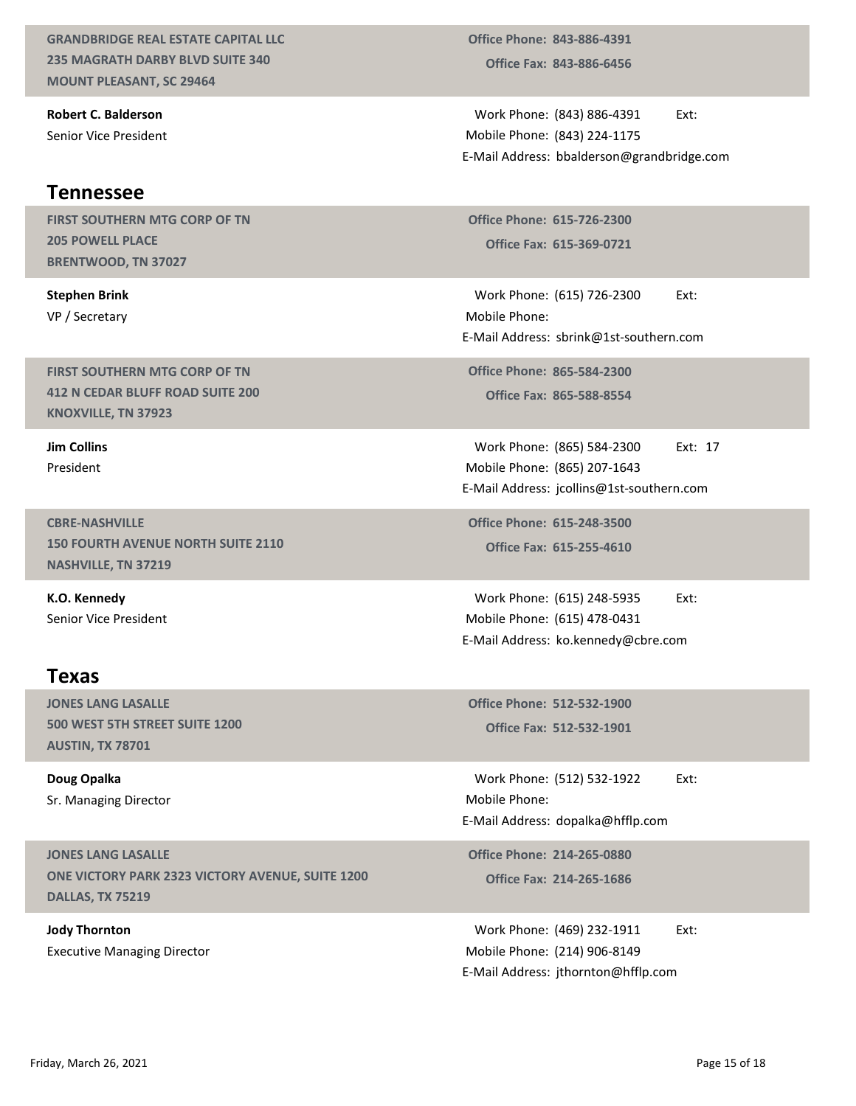GRANDBRIDGE REAL ESTATE CAPITAL LLC 235 MAGRATH DARBY BLVD SUITE 340 MOUNT PLEASANT, SC 29464

Robert C. Balderson Senior Vice President

#### Tennessee

FIRST SOUTHERN MTG CORP OF TN 205 POWELL PLACE BRENTWOOD, TN 37027

Stephen Brink VP / Secretary

FIRST SOUTHERN MTG CORP OF TN 412 N CEDAR BLUFF ROAD SUITE 200 KNOXVILLE, TN 37923

Jim Collins President

CBRE-NASHVILLE 150 FOURTH AVENUE NORTH SUITE 2110 NASHVILLE, TN 37219

K.O. Kennedy Senior Vice President

#### Texas

JONES LANG LASALLE 500 WEST 5TH STREET SUITE 1200 AUSTIN, TX 78701

Doug Opalka Sr. Managing Director

JONES LANG LASALLE ONE VICTORY PARK 2323 VICTORY AVENUE, SUITE 1200 DALLAS, TX 75219 SOO WEST STH STREET SUITE 1200<br>
AUSTIN, TX 78701<br>
Doug Opalka<br>
Sr. Managing Director<br>
Sr. Managing Director<br>
IMDINE LANG LASALLE<br>
SREVICTORY PARK 2323 VICTORY AVENUE, SUITE 1200<br>
OMEN UCTORY PARK 2323 VICTORY AVENUE, SUITE

Jody Thornton Executive Managing Director

Office Fax: 843-886-6456 Office Phone: 843-886-4391

Work Phone: (843) 886-4391 Ext: (843) 224-1175 Mobile Phone: Office Phone: 843-886-4391<br>
Office Fax: 843-886-6456<br>
Work Phone: (843) 886-4391 Ext:<br>
Iobile Phone: (843) 224-1175<br>
Mail Address: bbalderson@grandbridge.com E-Mail Address: bbalderson@grandbridge.com ice Phone: 843-886-4391<br>Office Fax: 843-886-6456<br>Ork Phone: (843) 886-4391 Ext:<br>bile Phone: (843) 224-1175<br>ail Address: bbalderson@grandbridge.com<br>ice Phone: 615-726-2300<br>Office Fax: 615-369-0721<br>ork Phone: (615) 726-2300 1993<br>
1997 The Phone: 843-886-4391<br>
1997 The Ext: (643) 886-4391<br>
1998 Work Phone: (843) 224-1175<br>
1998 Mail Address: bbalderson@grandbridge.com<br>
1998 Office Phone: 615-726-2300<br>
1999 Office Fax: 615-369-0721<br>
1998 Work P (843) 886-4391 Ext:<br>
(843) 224-1175<br>
bbalderson@grandbridge.com<br>
615-726-2300<br>
615-369-0721<br>
(615) 726-2300 Ext:<br>
sbrink@1st-southern.com<br>
865-588-8554<br>
(865) 584-2300 Ext: 17<br>
(865) 584-2300 Ext: 17<br>
(865) 207-1643<br>
jcoll Work Phone: (843) 886-4391<br>
Iobile Phone: (843) 224-1175<br>
Mail Address: bbalderson@grandbridge.com<br>
office Phone: 615-726-2300<br>
Office Fax: 615-369-0721<br>
Work Phone: (615) 726-2300<br>
Ext:<br>
Mail Address: sbrink@1st-southern.

Office Phone: 615-726-2300

Mobile Phone: E-Mail Address: sbrink@1st-southern.com

Office Fax: 865-588-8554 Office Phone: 865-584-2300

(865) 207-1643 Mobile Phone: E-Mail Address: jcollins@1st-southern.com Work Phone: (615) 726-2300<br>Work Phone:<br>Mail Address: sbrink@1st-southern.com<br>office Phone: 865-584-2300<br>Office Fax: 865-588-8554<br>Work Phone: (865) 584-2300 Ext: 17<br>Mobile Phone: (865) 207-1643<br>Mail Address: jcollins@1st-so Office Phone: 865-584-2300<br>
Office Fax: 865-588-8554<br>
Work Phone: (865) 584-2300 Ext: 17<br>
Mobile Phone: (865) 207-1643<br>
-Mail Address: jcollins@1st-southern.com<br>
Office Phone: 615-248-3500<br>
Office Phone: (615) 248-5935 Ext Work Phone: (865) 584-2300 Ext: 17<br>
Iobile Phone: (865) 207-1643<br>
Mail Address: jcollins@1st-southern.com<br>
Iffice Phone: 615-248-3500<br>
Office Fax: 615-255-4610<br>
Work Phone: (615) 248-5935 Ext:<br>
Noile Phone: (615) 478-0431<br>

Office Fax: 615-255-4610 Office Phone: 615-248-3500

Work Phone: (615) 248-5935 Ext: Mobile Phone: (615) 478-0431 E-Mail Address: ko.kennedy@cbre.com

Office Fax: 512-532-1901

Mobile Phone: Mobile Prione: (803) 207-1043<br>
E-Mail Address: jcollins@1st-southern.com<br>
Office Phone: 615-248-3500<br>
Office Fax: 615-255-4610<br>
Work Phone: (615) 248-5935 Ext:<br>
Mobile Phone: (615) 478-0431<br>
E-Mail Address: ko.kennedy@cbre Work Phone: (615) 248-5935<br>
Iobile Phone: (615) 478-0431<br>
Mail Address: ko.kennedy@cbre.com<br>
office Phone: 512-532-1900<br>
Office Fax: 512-532-1901<br>
Work Phone: (512) 532-1922 Ext:<br>
Iobile Phone: (512) 532-1922 Ext:<br>
Mail Ad

Office Fax: 214-265-1686 Office Phone: 214-265-0880

Work Phone: (469) 232-1911 Ext: (214) 906-8149 Mobile Phone: E-Mail Address: jthornton@hfflp.com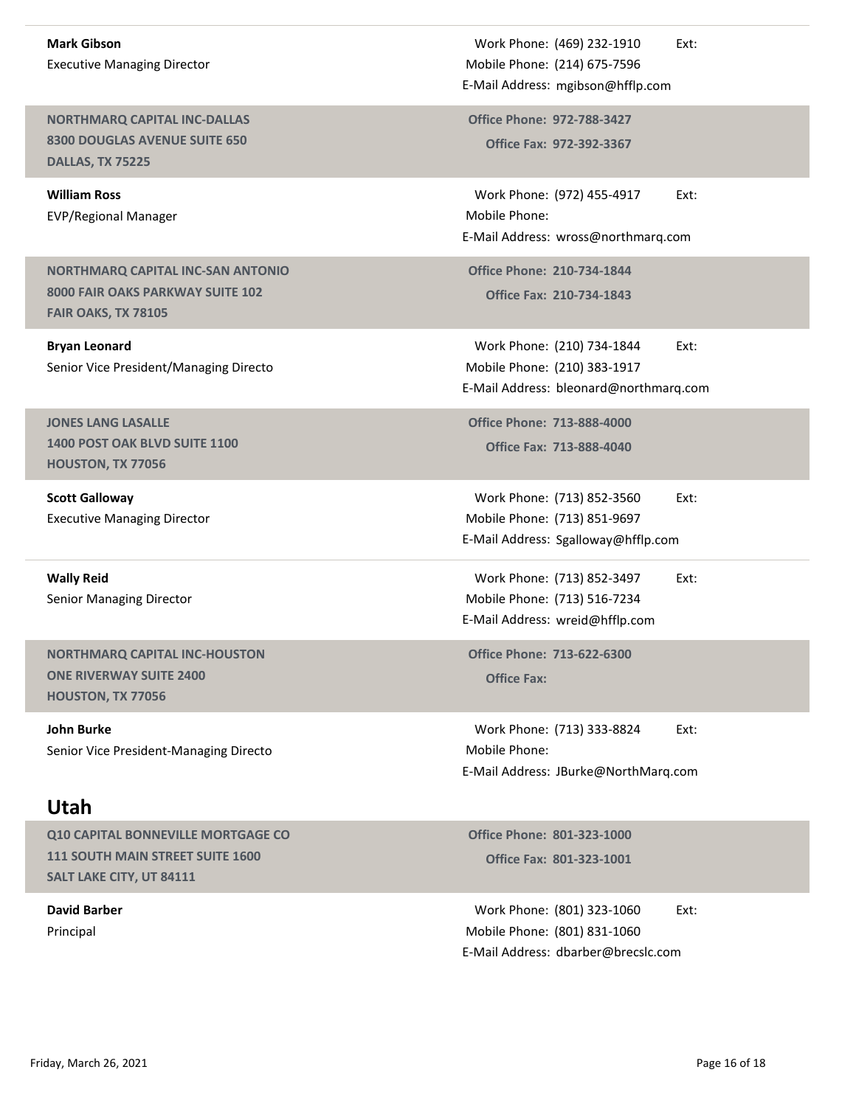Mark Gibson Executive Managing Director

NORTHMARQ CAPITAL INC-DALLAS 8300 DOUGLAS AVENUE SUITE 650 DALLAS, TX 75225

William Ross EVP/Regional Manager

NORTHMARQ CAPITAL INC-SAN ANTONIO 8000 FAIR OAKS PARKWAY SUITE 102 FAIR OAKS, TX 78105

Bryan Leonard Senior Vice President/Managing Directo

JONES LANG LASALLE 1400 POST OAK BLVD SUITE 1100 HOUSTON, TX 77056

Scott Galloway Executive Managing Director

Wally Reid Senior Managing Director

NORTHMARQ CAPITAL INC-HOUSTON ONE RIVERWAY SUITE 2400 HOUSTON, TX 77056

John Burke Senior Vice President-Managing Directo

#### Utah

Q10 CAPITAL BONNEVILLE MORTGAGE CO 111 SOUTH MAIN STREET SUITE 1600 SALT LAKE CITY, UT 84111

David Barber Principal

Work Phone: (469) 232-1910 Ext: (214) 675-7596 Mobile Phone: Work Phone: (469) 232-1910 Ext:<br>
Iobile Phone: (214) 675-7596<br>
Mail Address: mgibson@hfflp.com<br>
office Phone: 972-788-3427<br>
Office Fax: 972-392-3367 E-Mail Address: mgibson@hfflp.com Work Phone: (469) 232-1910<br>
Mobile Phone: (214) 675-7596<br>
-Mail Address: mgibson@hfflp.com<br>
Office Phone: 972-788-3427<br>
Office Fax: 972-392-3367<br>
Work Phone: (972) 455-4917 Ext:<br>
Mobile Phone:

Office Fax: 972-392-3367

Work Phone: (469) 232-1910<br>
Iobile Phone: (214) 675-7596<br>
Mail Address: mgibson@hfflp.com<br>
Phone: 972-788-3427<br>
Office Fax: 972-392-3367<br>
Work Phone: (972) 455-4917 Ext:<br>
Iobile Phone:<br>
Mail Address: wross@northmarq.com<br>
M Mobile Phone: Work Phone: (469) 232-1910<br>
E-Mail Address: mgibson@hfflp.com<br>
Office Phone: 972-788-3427<br>
Office Fax: 972-392-3367<br>
Work Phone: (972) 455-4917<br>
E-Mail Address: wross@northmarq.com<br>
Office Phone: 210-734-1844<br>
Office Fax:

Office Fax: 210-734-1843 Office Phone: 210-734-1844

Work Phone: (210) 734-1844 Ext: (210) 383-1917 Mobile Phone: Work Phone: (469) 232-1910 Ext:<br>
tobile Phone: (214) 675-7596<br>
Mail Address: mgibson@hfflp.com<br>
Mifice Phone: 972-788-3427<br>
Office Fax: 972-392-3367<br>
Work Phone: (972) 455-4917 Ext:<br>
Iobile Phone: (972) 455-4917 Ext:<br>
Mail E-Mail Address: bleonard@northmarq.com Work Phone: (972) 455-4917<br>Work Phone: (972) 455-4917<br>Mail Address: wross@northmarq.com<br>Pffice Phone: 210-734-1844<br>Office Fax: 210-734-1844<br>Work Phone: (210) 734-1844<br>Work Phone: (210) 383-1917<br>Mail Address: bleonard@north Mail Address: wross@northmarq.com<br>
Pffice Phone: 210-734-1844<br>
Office Fax: 210-734-1844<br>
Work Phone: (210) 734-1844<br>
Ext:<br>
Iobile Phone: (210) 383-1917<br>
Mail Address: bleonard@northmarq.com<br>
Pffice Phone: 713-888-4040<br>
Off

Office Fax: 713-888-4040 Office Phone: 713-888-4000

Work Phone: (713) 852-3560 Ext: (713) 851-9697 Mobile Phone: E-Mail Address: Sgalloway@hfflp.com

Work Phone: (713) 852-3497 Ext: (713) 516-7234 Mobile Phone: E-Mail Address: wreid@hfflp.com

Office Phone: 713-622-6300<br>Office Fax:

Mail Address: bleonard@northmarq.com<br>
Office Phone: 713-888-4000<br>
Office Fax: 713-888-4040<br>
Work Phone: (713) 852-3560 Ext:<br>
Iobile Phone: (713) 851-9697<br>
Mail Address: Sgalloway@hfflp.com<br>
Work Phone: (713) 516-7234<br>
Mail Mobile Phone: E-Mail Address: JBurke@NorthMarq.com Work Phone: (713) 852-3497<br>
Iobile Phone: (713) 516-7234<br>
Mail Address: wreid@hfflp.com<br>
Iffice Phone: 713-622-6300<br>
Office Fax:<br>
Work Phone: (713) 333-8824 Ext:<br>
Nork Phone: (713) 333-8824 Ext:<br>
Iobile Phone:<br>
IMail Addre Friday, March 26, 2021<br>
Friday, March 26, 2021<br>
Friday, March 26, 2021<br>
Page 16 of 18<br>
Friday, March 26, 2021<br>
Page 16 of 18<br>
Page 16 of 18<br>
Page 16 of 18<br>
Page 16 of 18<br>
Page 16 of 18<br>
Page 16 of 18<br>
Page 16 of 18<br>
Page 1

Office Fax: 801-323-1001 Office Phone: 801-323-1000

Work Phone: (801) 323-1060 Ext: (801) 831-1060 Mobile Phone: E-Mail Address: dbarber@brecslc.com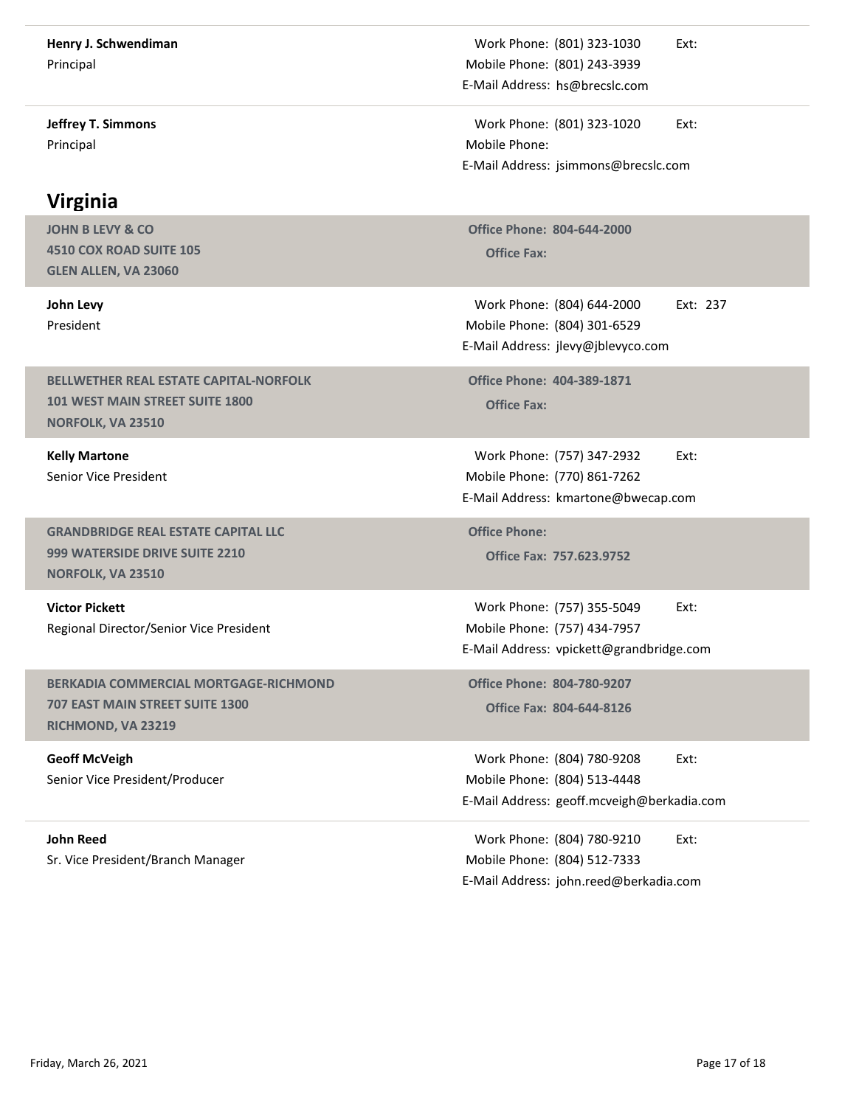| Henry J. Schwendiman<br>Principal                                                                 | Work Phone: (801) 323-1030<br>Ext:<br>Mobile Phone: (801) 243-3939                                             |
|---------------------------------------------------------------------------------------------------|----------------------------------------------------------------------------------------------------------------|
| <b>Jeffrey T. Simmons</b>                                                                         | E-Mail Address: hs@brecslc.com<br>Work Phone: (801) 323-1020<br>Ext:                                           |
| Principal                                                                                         | Mobile Phone:<br>E-Mail Address: jsimmons@brecslc.com                                                          |
| <b>Virginia</b>                                                                                   |                                                                                                                |
| <b>JOHN B LEVY &amp; CO</b><br>4510 COX ROAD SUITE 105<br>GLEN ALLEN, VA 23060                    | <b>Office Phone: 804-644-2000</b><br><b>Office Fax:</b>                                                        |
| John Levy<br>President                                                                            | Work Phone: (804) 644-2000<br>Ext: 237<br>Mobile Phone: (804) 301-6529<br>E-Mail Address: jlevy@jblevyco.com   |
| BELLWETHER REAL ESTATE CAPITAL-NORFOLK<br>101 WEST MAIN STREET SUITE 1800<br>NORFOLK, VA 23510    | <b>Office Phone: 404-389-1871</b><br><b>Office Fax:</b>                                                        |
| <b>Kelly Martone</b><br>Senior Vice President                                                     | Work Phone: (757) 347-2932<br>Ext:<br>Mobile Phone: (770) 861-7262<br>E-Mail Address: kmartone@bwecap.com      |
| <b>GRANDBRIDGE REAL ESTATE CAPITAL LLC</b><br>999 WATERSIDE DRIVE SUITE 2210<br>NORFOLK, VA 23510 | <b>Office Phone:</b><br>Office Fax: 757.623.9752                                                               |
| <b>Victor Pickett</b><br>Regional Director/Senior Vice President                                  | Work Phone: (757) 355-5049<br>Ext:<br>Mobile Phone: (757) 434-7957<br>E-Mail Address: vpickett@grandbridge.com |
| BERKADIA COMMERCIAL MORTGAGE-RICHMOND<br>707 EAST MAIN STREET SUITE 1300<br>RICHMOND, VA 23219    | <b>Office Phone: 804-780-9207</b><br>Office Fax: 804-644-8126                                                  |
| <b>Geoff McVeigh</b><br>Senior Vice President/Producer                                            | Work Phone: (804) 780-9208<br>Ext:<br>Mobile Phone: (804) 513-4448                                             |
|                                                                                                   | E-Mail Address: geoff.mcveigh@berkadia.com                                                                     |
| <b>John Reed</b><br>Sr. Vice President/Branch Manager                                             | Work Phone: (804) 780-9210<br>Ext:<br>Mobile Phone: (804) 512-7333<br>E-Mail Address: john.reed@berkadia.com   |
|                                                                                                   |                                                                                                                |
| Friday, March 26, 2021                                                                            | Page 17 of 18                                                                                                  |